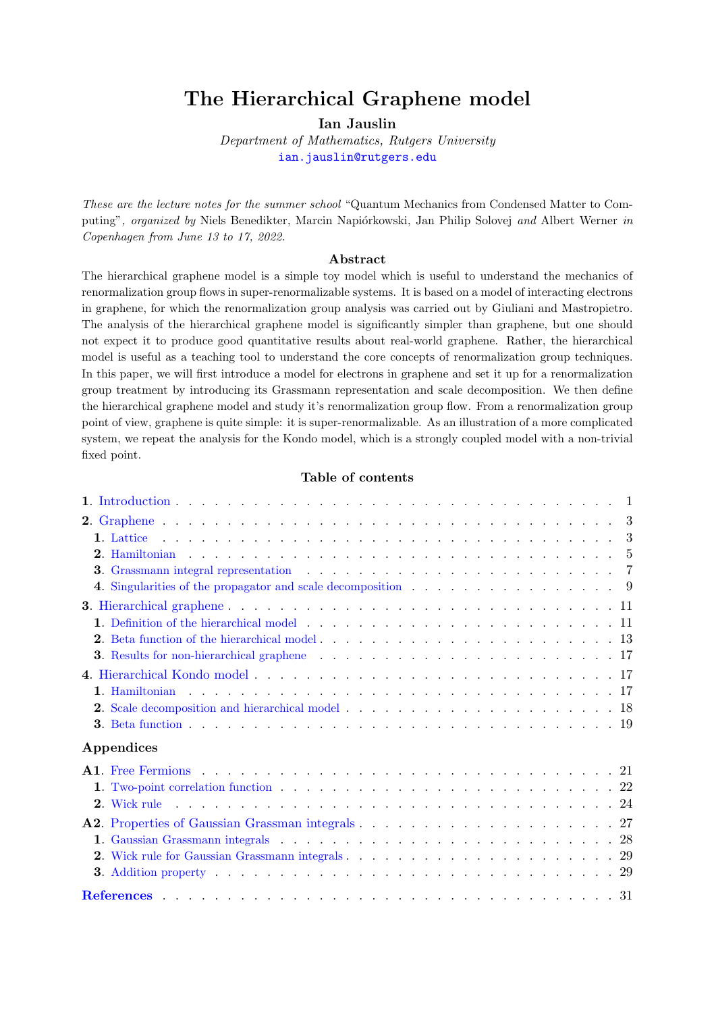# The Hierarchical Graphene model

Ian Jauslin

Department of Mathematics, Rutgers University [ian.jauslin@rutgers.edu](mailto:ian.jauslin@rutgers.edu)

These are the lecture notes for the summer school "Quantum Mechanics from Condensed Matter to Computing", organized by Niels Benedikter, Marcin Napiórkowski, Jan Philip Solovej and Albert Werner in Copenhagen from June 13 to 17, 2022.

### Abstract

The hierarchical graphene model is a simple toy model which is useful to understand the mechanics of renormalization group flows in super-renormalizable systems. It is based on a model of interacting electrons in graphene, for which the renormalization group analysis was carried out by Giuliani and Mastropietro. The analysis of the hierarchical graphene model is significantly simpler than graphene, but one should not expect it to produce good quantitative results about real-world graphene. Rather, the hierarchical model is useful as a teaching tool to understand the core concepts of renormalization group techniques. In this paper, we will first introduce a model for electrons in graphene and set it up for a renormalization group treatment by introducing its Grassmann representation and scale decomposition. We then define the hierarchical graphene model and study it's renormalization group flow. From a renormalization group point of view, graphene is quite simple: it is super-renormalizable. As an illustration of a more complicated system, we repeat the analysis for the Kondo model, which is a strongly coupled model with a non-trivial fixed point.

#### Table of contents

| 4. Singularities of the propagator and scale decomposition $\ldots$ , 9                                                                                                                                         |  |
|-----------------------------------------------------------------------------------------------------------------------------------------------------------------------------------------------------------------|--|
|                                                                                                                                                                                                                 |  |
|                                                                                                                                                                                                                 |  |
|                                                                                                                                                                                                                 |  |
|                                                                                                                                                                                                                 |  |
|                                                                                                                                                                                                                 |  |
|                                                                                                                                                                                                                 |  |
|                                                                                                                                                                                                                 |  |
|                                                                                                                                                                                                                 |  |
| Appendices                                                                                                                                                                                                      |  |
| <b>A1.</b> Free Fermions $\ldots$ $\ldots$ $\ldots$ $\ldots$ $\ldots$ $\ldots$ $\ldots$ $\ldots$ $\ldots$ $\ldots$ $\ldots$ $\ldots$ $\ldots$ $\ldots$ $\ldots$                                                 |  |
|                                                                                                                                                                                                                 |  |
|                                                                                                                                                                                                                 |  |
|                                                                                                                                                                                                                 |  |
|                                                                                                                                                                                                                 |  |
|                                                                                                                                                                                                                 |  |
| <b>3.</b> Addition property $\ldots$ $\ldots$ $\ldots$ $\ldots$ $\ldots$ $\ldots$ $\ldots$ $\ldots$ $\ldots$ $\ldots$ $\ldots$ $\ldots$ $\ldots$ $\ldots$ $\ldots$ $\ldots$ $\ldots$ $\ldots$ $\ldots$ $\ldots$ |  |
|                                                                                                                                                                                                                 |  |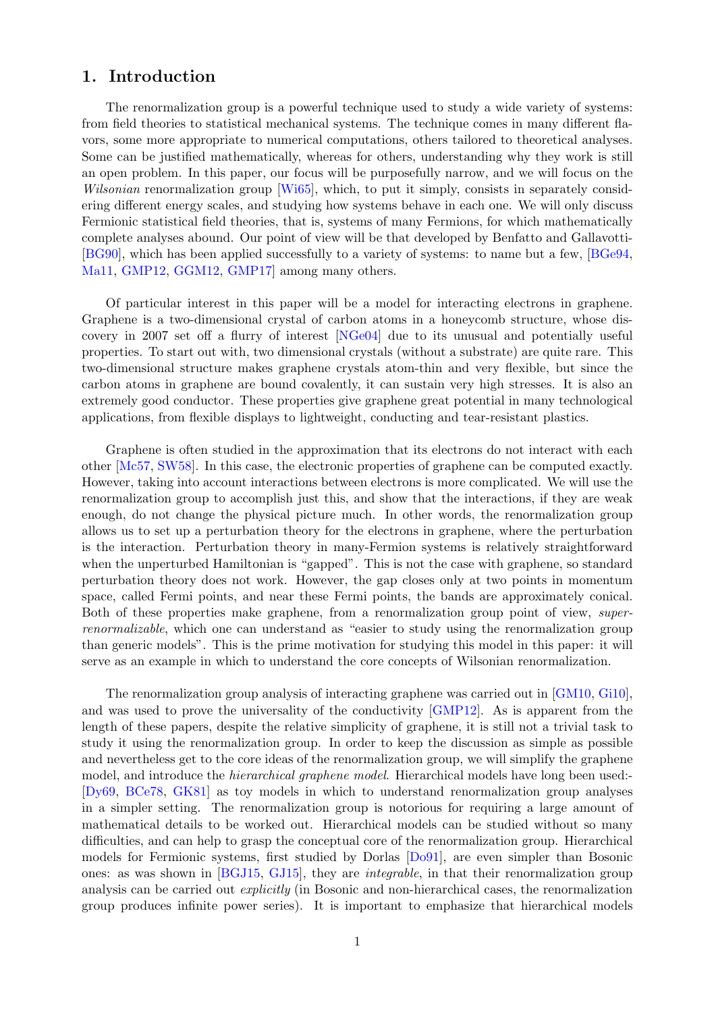# <span id="page-1-0"></span>1. Introduction

The renormalization group is a powerful technique used to study a wide variety of systems: from field theories to statistical mechanical systems. The technique comes in many different flavors, some more appropriate to numerical computations, others tailored to theoretical analyses. Some can be justified mathematically, whereas for others, understanding why they work is still an open problem. In this paper, our focus will be purposefully narrow, and we will focus on the Wilsonian renormalization group [\[Wi65\]](#page-32-0), which, to put it simply, consists in separately considering different energy scales, and studying how systems behave in each one. We will only discuss Fermionic statistical field theories, that is, systems of many Fermions, for which mathematically complete analyses abound. Our point of view will be that developed by Benfatto and Gallavotti- [\[BG90\]](#page-31-1), which has been applied successfully to a variety of systems: to name but a few, [\[BGe94,](#page-31-2) [Ma11,](#page-32-1) [GMP12,](#page-32-2) [GGM12,](#page-31-3) [GMP17\]](#page-32-3) among many others.

Of particular interest in this paper will be a model for interacting electrons in graphene. Graphene is a two-dimensional crystal of carbon atoms in a honeycomb structure, whose discovery in 2007 set off a flurry of interest [\[NGe04\]](#page-32-4) due to its unusual and potentially useful properties. To start out with, two dimensional crystals (without a substrate) are quite rare. This two-dimensional structure makes graphene crystals atom-thin and very flexible, but since the carbon atoms in graphene are bound covalently, it can sustain very high stresses. It is also an extremely good conductor. These properties give graphene great potential in many technological applications, from flexible displays to lightweight, conducting and tear-resistant plastics.

Graphene is often studied in the approximation that its electrons do not interact with each other [\[Mc57,](#page-32-5) [SW58\]](#page-32-6). In this case, the electronic properties of graphene can be computed exactly. However, taking into account interactions between electrons is more complicated. We will use the renormalization group to accomplish just this, and show that the interactions, if they are weak enough, do not change the physical picture much. In other words, the renormalization group allows us to set up a perturbation theory for the electrons in graphene, where the perturbation is the interaction. Perturbation theory in many-Fermion systems is relatively straightforward when the unperturbed Hamiltonian is "gapped". This is not the case with graphene, so standard perturbation theory does not work. However, the gap closes only at two points in momentum space, called Fermi points, and near these Fermi points, the bands are approximately conical. Both of these properties make graphene, from a renormalization group point of view, superrenormalizable, which one can understand as "easier to study using the renormalization group than generic models". This is the prime motivation for studying this model in this paper: it will serve as an example in which to understand the core concepts of Wilsonian renormalization.

The renormalization group analysis of interacting graphene was carried out in [\[GM10,](#page-32-7) [Gi10\]](#page-31-4), and was used to prove the universality of the conductivity [\[GMP12\]](#page-32-2). As is apparent from the length of these papers, despite the relative simplicity of graphene, it is still not a trivial task to study it using the renormalization group. In order to keep the discussion as simple as possible and nevertheless get to the core ideas of the renormalization group, we will simplify the graphene model, and introduce the *hierarchical graphene model*. Hierarchical models have long been used:-[\[Dy69,](#page-31-5) [BCe78,](#page-31-6) [GK81\]](#page-31-7) as toy models in which to understand renormalization group analyses in a simpler setting. The renormalization group is notorious for requiring a large amount of mathematical details to be worked out. Hierarchical models can be studied without so many difficulties, and can help to grasp the conceptual core of the renormalization group. Hierarchical models for Fermionic systems, first studied by Dorlas [\[Do91\]](#page-31-8), are even simpler than Bosonic ones: as was shown in [\[BGJ15,](#page-31-9) [GJ15\]](#page-31-10), they are integrable, in that their renormalization group analysis can be carried out explicitly (in Bosonic and non-hierarchical cases, the renormalization group produces infinite power series). It is important to emphasize that hierarchical models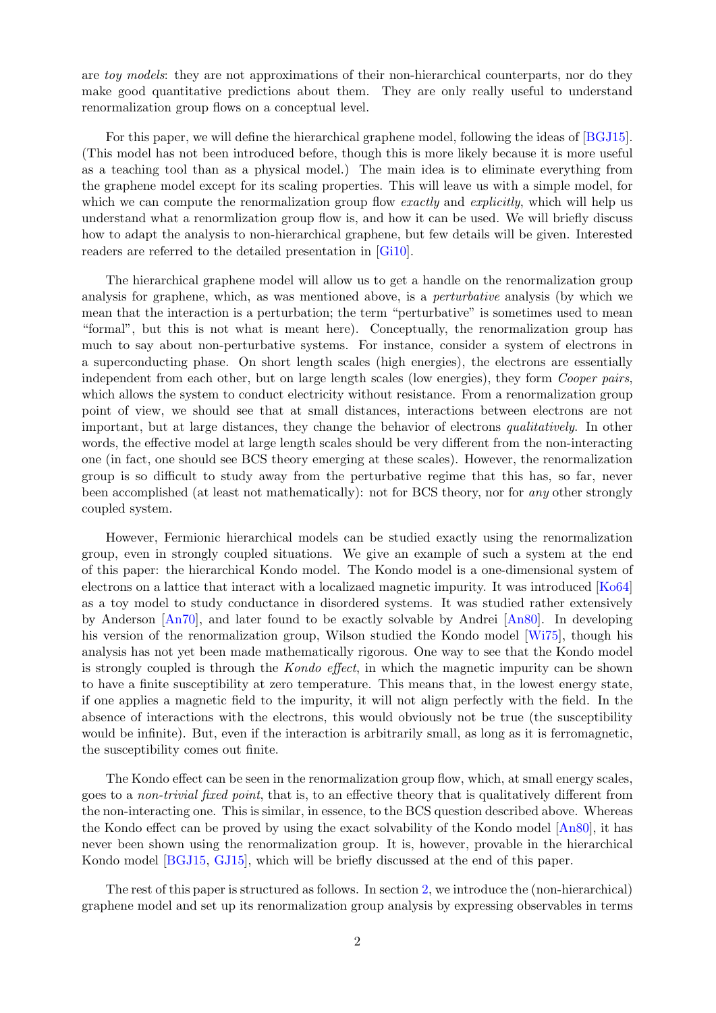are toy models: they are not approximations of their non-hierarchical counterparts, nor do they make good quantitative predictions about them. They are only really useful to understand renormalization group flows on a conceptual level.

For this paper, we will define the hierarchical graphene model, following the ideas of [\[BGJ15\]](#page-31-9). (This model has not been introduced before, though this is more likely because it is more useful as a teaching tool than as a physical model.) The main idea is to eliminate everything from the graphene model except for its scaling properties. This will leave us with a simple model, for which we can compute the renormalization group flow exactly and explicitly, which will help us understand what a renormlization group flow is, and how it can be used. We will briefly discuss how to adapt the analysis to non-hierarchical graphene, but few details will be given. Interested readers are referred to the detailed presentation in [\[Gi10\]](#page-31-4).

The hierarchical graphene model will allow us to get a handle on the renormalization group analysis for graphene, which, as was mentioned above, is a perturbative analysis (by which we mean that the interaction is a perturbation; the term "perturbative" is sometimes used to mean "formal", but this is not what is meant here). Conceptually, the renormalization group has much to say about non-perturbative systems. For instance, consider a system of electrons in a superconducting phase. On short length scales (high energies), the electrons are essentially independent from each other, but on large length scales (low energies), they form *Cooper pairs*, which allows the system to conduct electricity without resistance. From a renormalization group point of view, we should see that at small distances, interactions between electrons are not important, but at large distances, they change the behavior of electrons qualitatively. In other words, the effective model at large length scales should be very different from the non-interacting one (in fact, one should see BCS theory emerging at these scales). However, the renormalization group is so difficult to study away from the perturbative regime that this has, so far, never been accomplished (at least not mathematically): not for BCS theory, nor for any other strongly coupled system.

However, Fermionic hierarchical models can be studied exactly using the renormalization group, even in strongly coupled situations. We give an example of such a system at the end of this paper: the hierarchical Kondo model. The Kondo model is a one-dimensional system of electrons on a lattice that interact with a localizaed magnetic impurity. It was introduced [\[Ko64\]](#page-32-8) as a toy model to study conductance in disordered systems. It was studied rather extensively by Anderson [\[An70\]](#page-31-11), and later found to be exactly solvable by Andrei [\[An80\]](#page-31-12). In developing his version of the renormalization group, Wilson studied the Kondo model [\[Wi75\]](#page-32-9), though his analysis has not yet been made mathematically rigorous. One way to see that the Kondo model is strongly coupled is through the Kondo effect, in which the magnetic impurity can be shown to have a finite susceptibility at zero temperature. This means that, in the lowest energy state, if one applies a magnetic field to the impurity, it will not align perfectly with the field. In the absence of interactions with the electrons, this would obviously not be true (the susceptibility would be infinite). But, even if the interaction is arbitrarily small, as long as it is ferromagnetic, the susceptibility comes out finite.

The Kondo effect can be seen in the renormalization group flow, which, at small energy scales, goes to a non-trivial fixed point, that is, to an effective theory that is qualitatively different from the non-interacting one. This is similar, in essence, to the BCS question described above. Whereas the Kondo effect can be proved by using the exact solvability of the Kondo model [\[An80\]](#page-31-12), it has never been shown using the renormalization group. It is, however, provable in the hierarchical Kondo model [\[BGJ15,](#page-31-9) [GJ15\]](#page-31-10), which will be briefly discussed at the end of this paper.

The rest of this paper is structured as follows. In section [2,](#page-3-0) we introduce the (non-hierarchical) graphene model and set up its renormalization group analysis by expressing observables in terms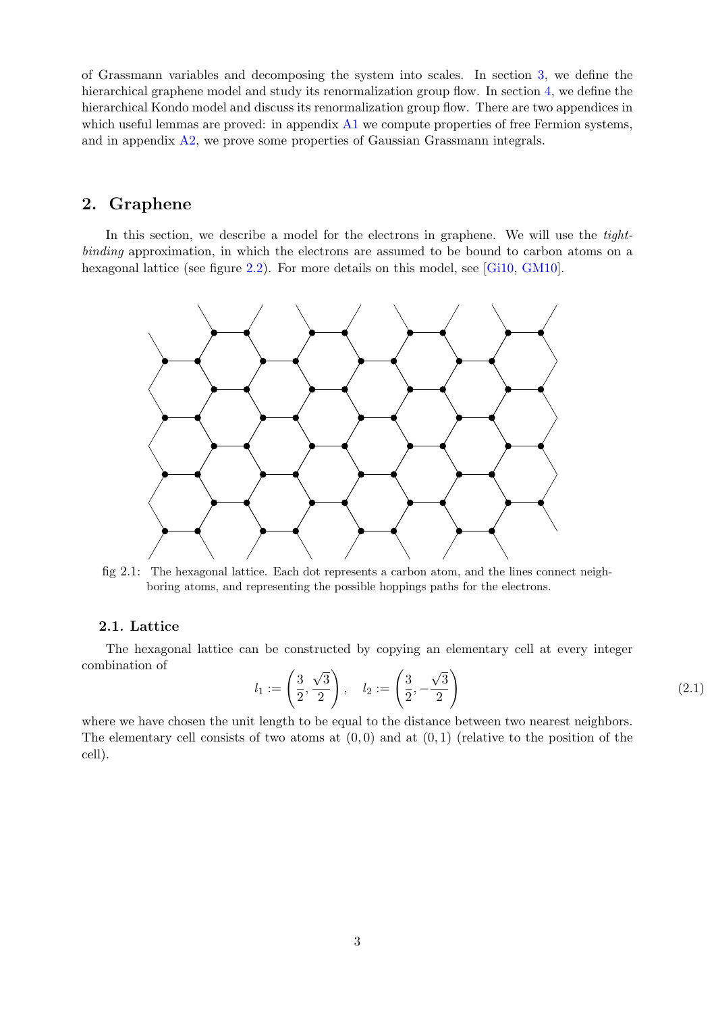of Grassmann variables and decomposing the system into scales. In section [3,](#page-11-0) we define the hierarchical graphene model and study its renormalization group flow. In section  $4$ , we define the hierarchical Kondo model and discuss its renormalization group flow. There are two appendices in which useful lemmas are proved: in appendix  $A1$  we compute properties of free Fermion systems, and in appendix [A2,](#page-27-0) we prove some properties of Gaussian Grassmann integrals.

# <span id="page-3-0"></span>2. Graphene

In this section, we describe a model for the electrons in graphene. We will use the tightbinding approximation, in which the electrons are assumed to be bound to carbon atoms on a hexagonal lattice (see figure [2.2\)](#page-4-0). For more details on this model, see [\[Gi10,](#page-31-4) [GM10\]](#page-32-7).



fig 2.1: The hexagonal lattice. Each dot represents a carbon atom, and the lines connect neighboring atoms, and representing the possible hoppings paths for the electrons.

### <span id="page-3-1"></span>2.1. Lattice

The hexagonal lattice can be constructed by copying an elementary cell at every integer combination of

$$
l_1 := \left(\frac{3}{2}, \frac{\sqrt{3}}{2}\right), \quad l_2 := \left(\frac{3}{2}, -\frac{\sqrt{3}}{2}\right)
$$
 (2.1)

where we have chosen the unit length to be equal to the distance between two nearest neighbors. The elementary cell consists of two atoms at  $(0, 0)$  and at  $(0, 1)$  (relative to the position of the cell).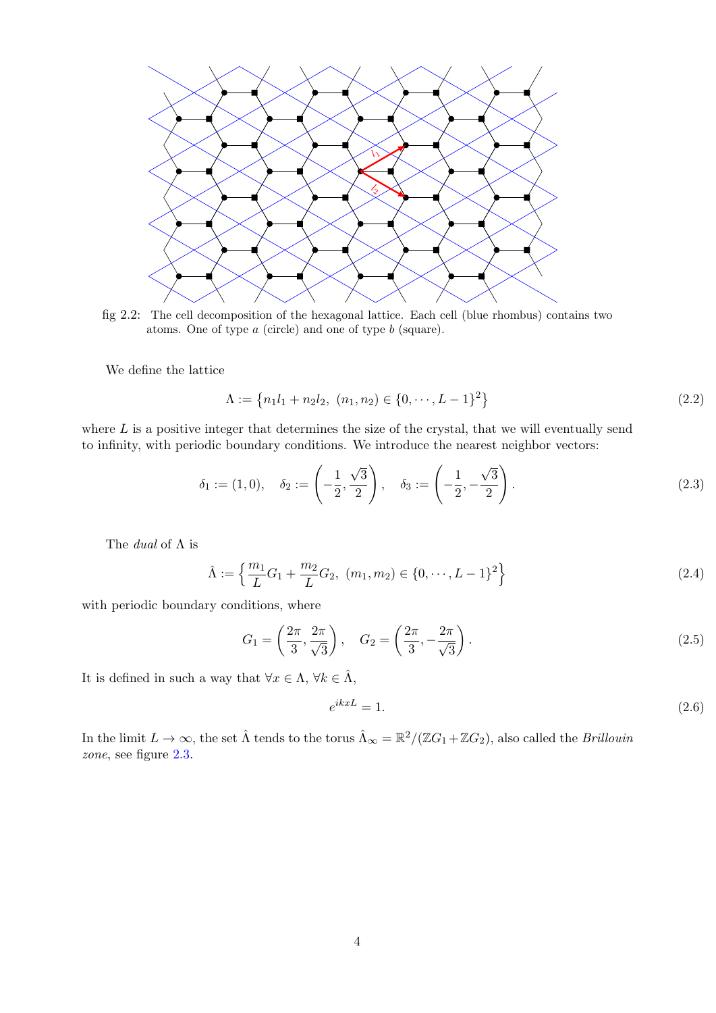

<span id="page-4-0"></span>fig 2.2: The cell decomposition of the hexagonal lattice. Each cell (blue rhombus) contains two atoms. One of type a (circle) and one of type b (square).

We define the lattice

$$
\Lambda := \left\{ n_1 l_1 + n_2 l_2, \ (n_1, n_2) \in \{0, \cdots, L - 1\}^2 \right\} \tag{2.2}
$$

where  $L$  is a positive integer that determines the size of the crystal, that we will eventually send to infinity, with periodic boundary conditions. We introduce the nearest neighbor vectors:

$$
\delta_1 := (1,0), \quad \delta_2 := \left(-\frac{1}{2}, \frac{\sqrt{3}}{2}\right), \quad \delta_3 := \left(-\frac{1}{2}, -\frac{\sqrt{3}}{2}\right). \tag{2.3}
$$

The dual of Λ is

$$
\hat{\Lambda} := \left\{ \frac{m_1}{L} G_1 + \frac{m_2}{L} G_2, \ (m_1, m_2) \in \{0, \cdots, L - 1\}^2 \right\}
$$
\n(2.4)

with periodic boundary conditions, where

$$
G_1 = \left(\frac{2\pi}{3}, \frac{2\pi}{\sqrt{3}}\right), \quad G_2 = \left(\frac{2\pi}{3}, -\frac{2\pi}{\sqrt{3}}\right).
$$
 (2.5)

It is defined in such a way that  $\forall x \in \Lambda, \forall k \in \hat{\Lambda}$ ,

$$
e^{ikxL} = 1.\t\t(2.6)
$$

In the limit  $L \to \infty$ , the set  $\hat{\Lambda}$  tends to the torus  $\hat{\Lambda}_{\infty} = \mathbb{R}^2/(\mathbb{Z}G_1 + \mathbb{Z}G_2)$ , also called the *Brillouin* zone, see figure [2.3.](#page-5-1)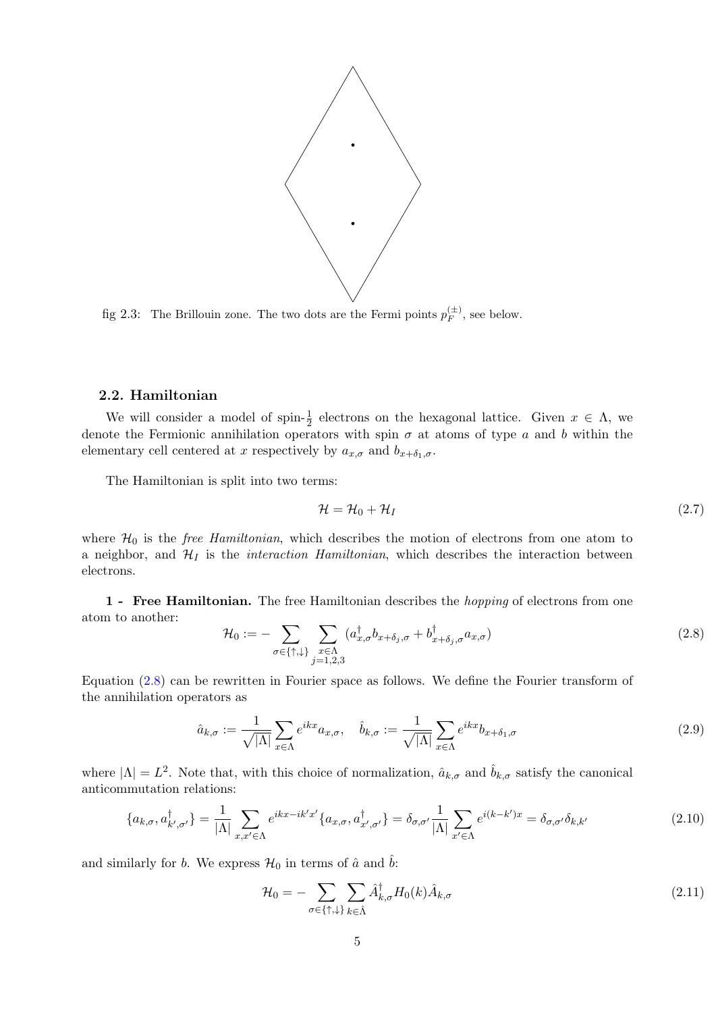

<span id="page-5-1"></span>fig 2.3: The Brillouin zone. The two dots are the Fermi points  $p_F^{(\pm)}$ , see below.

#### <span id="page-5-0"></span>2.2. Hamiltonian

We will consider a model of spin- $\frac{1}{2}$  electrons on the hexagonal lattice. Given  $x \in \Lambda$ , we denote the Fermionic annihilation operators with spin  $\sigma$  at atoms of type a and b within the elementary cell centered at x respectively by  $a_{x,\sigma}$  and  $b_{x+\delta_1,\sigma}$ .

The Hamiltonian is split into two terms:

$$
\mathcal{H} = \mathcal{H}_0 + \mathcal{H}_I \tag{2.7}
$$

where  $H_0$  is the *free Hamiltonian*, which describes the motion of electrons from one atom to a neighbor, and  $\mathcal{H}_I$  is the *interaction Hamiltonian*, which describes the interaction between electrons.

1 - Free Hamiltonian. The free Hamiltonian describes the hopping of electrons from one atom to another:

<span id="page-5-2"></span>
$$
\mathcal{H}_0 := -\sum_{\sigma \in \{\uparrow, \downarrow\}} \sum_{\substack{x \in \Lambda \\ j=1,2,3}} (a_{x,\sigma}^\dagger b_{x+\delta_j,\sigma} + b_{x+\delta_j,\sigma}^\dagger a_{x,\sigma}) \tag{2.8}
$$

Equation [\(2.8\)](#page-5-2) can be rewritten in Fourier space as follows. We define the Fourier transform of the annihilation operators as

$$
\hat{a}_{k,\sigma} := \frac{1}{\sqrt{|\Lambda|}} \sum_{x \in \Lambda} e^{ikx} a_{x,\sigma}, \quad \hat{b}_{k,\sigma} := \frac{1}{\sqrt{|\Lambda|}} \sum_{x \in \Lambda} e^{ikx} b_{x+\delta_1,\sigma} \tag{2.9}
$$

where  $|\Lambda| = L^2$ . Note that, with this choice of normalization,  $\hat{a}_{k,\sigma}$  and  $\hat{b}_{k,\sigma}$  satisfy the canonical anticommutation relations:

$$
\{a_{k,\sigma}, a_{k',\sigma'}^\dagger\} = \frac{1}{|\Lambda|} \sum_{x,x' \in \Lambda} e^{ikx - ik'x'} \{a_{x,\sigma}, a_{x',\sigma'}^\dagger\} = \delta_{\sigma,\sigma'} \frac{1}{|\Lambda|} \sum_{x' \in \Lambda} e^{i(k-k')x} = \delta_{\sigma,\sigma'} \delta_{k,k'} \tag{2.10}
$$

and similarly for b. We express  $\mathcal{H}_0$  in terms of  $\hat{a}$  and  $\hat{b}$ :

$$
\mathcal{H}_0 = -\sum_{\sigma \in \{\uparrow, \downarrow\}} \sum_{k \in \hat{\Lambda}} \hat{A}_{k,\sigma}^{\dagger} H_0(k) \hat{A}_{k,\sigma} \tag{2.11}
$$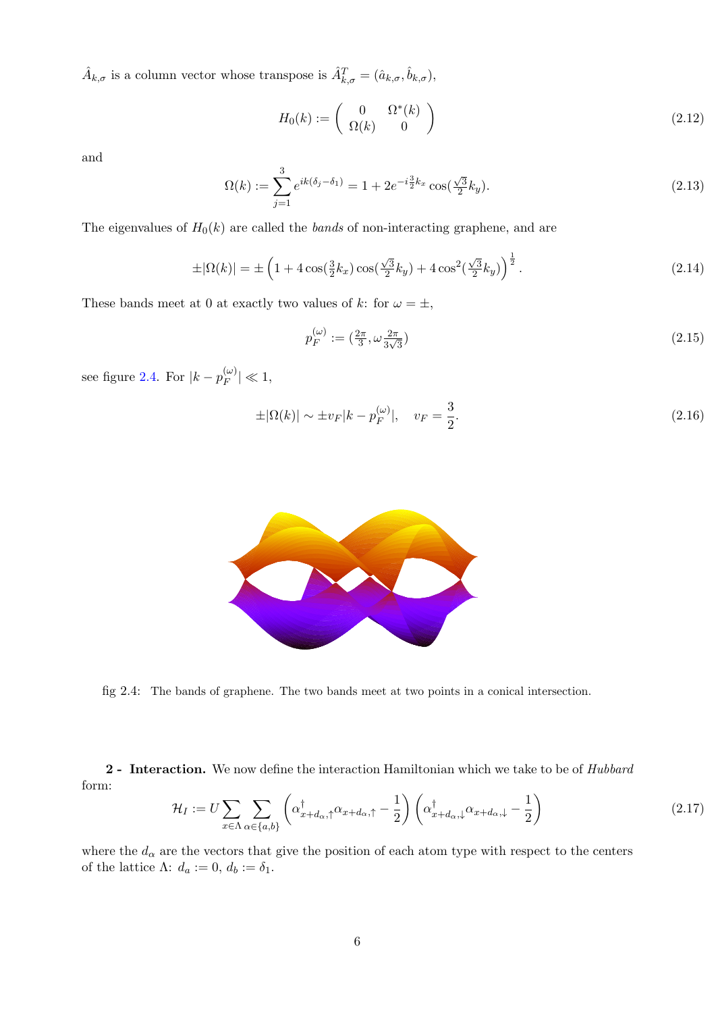$\hat{A}_{k,\sigma}$  is a column vector whose transpose is  $\hat{A}_{k,\sigma}^T = (\hat{a}_{k,\sigma}, \hat{b}_{k,\sigma}),$ 

<span id="page-6-3"></span>
$$
H_0(k) := \begin{pmatrix} 0 & \Omega^*(k) \\ \Omega(k) & 0 \end{pmatrix} \tag{2.12}
$$

and

$$
\Omega(k) := \sum_{j=1}^{3} e^{ik(\delta_j - \delta_1)} = 1 + 2e^{-i\frac{3}{2}k_x} \cos(\frac{\sqrt{3}}{2}k_y).
$$
\n(2.13)

The eigenvalues of  $H_0(k)$  are called the *bands* of non-interacting graphene, and are

$$
\pm |\Omega(k)| = \pm \left(1 + 4\cos(\frac{3}{2}k_x)\cos(\frac{\sqrt{3}}{2}k_y) + 4\cos^2(\frac{\sqrt{3}}{2}k_y)\right)^{\frac{1}{2}}.
$$
 (2.14)

These bands meet at 0 at exactly two values of k: for  $\omega = \pm$ ,

<span id="page-6-1"></span>
$$
p_F^{(\omega)} := \left(\frac{2\pi}{3}, \omega \frac{2\pi}{3\sqrt{3}}\right) \tag{2.15}
$$

see figure [2.4.](#page-6-0) For  $|k - p_F^{(\omega)}|$  $|_{F}^{\left( \omega\right) }\rangle \ll1,$ 

<span id="page-6-2"></span>
$$
\pm |\Omega(k)| \sim \pm v_F |k - p_F^{(\omega)}|, \quad v_F = \frac{3}{2}.
$$
\n(2.16)



<span id="page-6-0"></span>fig 2.4: The bands of graphene. The two bands meet at two points in a conical intersection.

2 - Interaction. We now define the interaction Hamiltonian which we take to be of Hubbard form:

$$
\mathcal{H}_I := U \sum_{x \in \Lambda} \sum_{\alpha \in \{a, b\}} \left( \alpha_{x + d_{\alpha}, \uparrow}^{\dagger} \alpha_{x + d_{\alpha}, \uparrow} - \frac{1}{2} \right) \left( \alpha_{x + d_{\alpha}, \downarrow}^{\dagger} \alpha_{x + d_{\alpha}, \downarrow} - \frac{1}{2} \right)
$$
\n(2.17)

where the  $d_{\alpha}$  are the vectors that give the position of each atom type with respect to the centers of the lattice Λ:  $d_a := 0, d_b := \delta_1$ .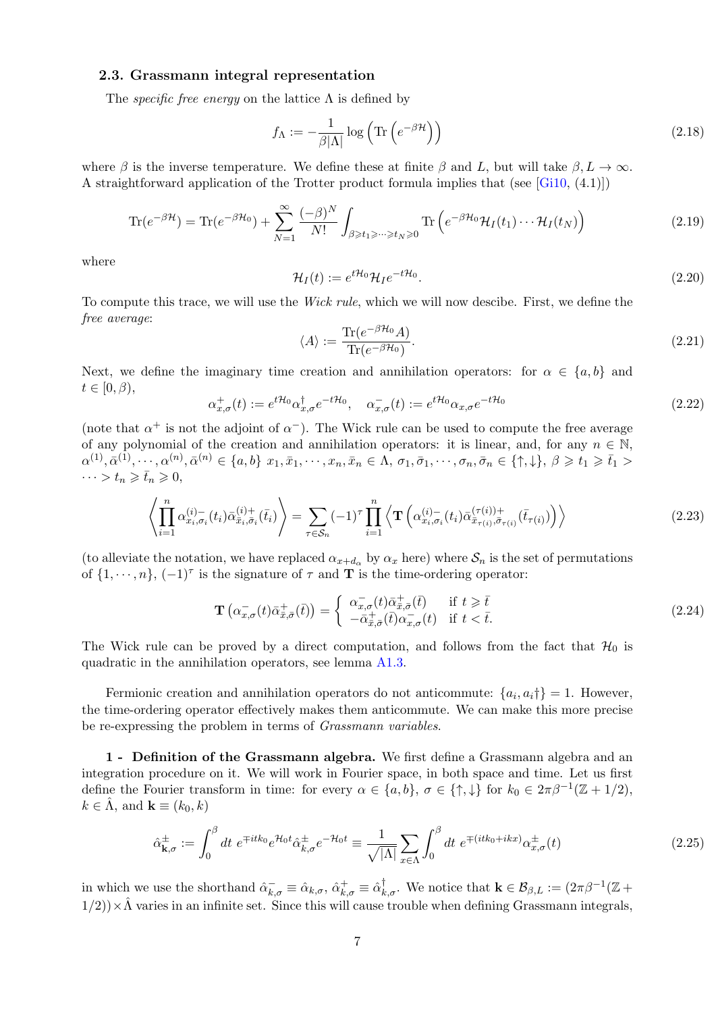### <span id="page-7-0"></span>2.3. Grassmann integral representation

The *specific free energy* on the lattice  $\Lambda$  is defined by

<span id="page-7-2"></span>
$$
f_{\Lambda} := -\frac{1}{\beta |\Lambda|} \log \left( \text{Tr} \left( e^{-\beta \mathcal{H}} \right) \right) \tag{2.18}
$$

where  $\beta$  is the inverse temperature. We define these at finite  $\beta$  and L, but will take  $\beta, L \to \infty$ . A straightforward application of the Trotter product formula implies that (see [\[Gi10,](#page-31-4) (4.1)])

$$
\text{Tr}(e^{-\beta \mathcal{H}}) = \text{Tr}(e^{-\beta \mathcal{H}_0}) + \sum_{N=1}^{\infty} \frac{(-\beta)^N}{N!} \int_{\beta \ge t_1 \ge \dots \ge t_N \ge 0} \text{Tr}\left(e^{-\beta \mathcal{H}_0} \mathcal{H}_I(t_1) \dots \mathcal{H}_I(t_N)\right)
$$
(2.19)

where

$$
\mathcal{H}_I(t) := e^{t\mathcal{H}_0} \mathcal{H}_I e^{-t\mathcal{H}_0}.
$$
\n(2.20)

To compute this trace, we will use the Wick rule, which we will now descibe. First, we define the free average:

$$
\langle A \rangle := \frac{\text{Tr}(e^{-\beta \mathcal{H}_0} A)}{\text{Tr}(e^{-\beta \mathcal{H}_0})}.
$$
\n(2.21)

Next, we define the imaginary time creation and annihilation operators: for  $\alpha \in \{a, b\}$  and  $t \in [0, \beta),$ 

$$
\alpha_{x,\sigma}^+(t) := e^{t\mathcal{H}_0} \alpha_{x,\sigma}^\dagger e^{-t\mathcal{H}_0}, \quad \alpha_{x,\sigma}^-(t) := e^{t\mathcal{H}_0} \alpha_{x,\sigma} e^{-t\mathcal{H}_0}
$$
\n
$$
(2.22)
$$

(note that  $\alpha^+$  is not the adjoint of  $\alpha^-$ ). The Wick rule can be used to compute the free average of any polynomial of the creation and annihilation operators: it is linear, and, for any  $n \in \mathbb{N}$ ,  $\alpha^{(1)}, \bar{\alpha}^{(1)}, \cdots, \alpha^{(n)}, \bar{\alpha}^{(n)} \in \{a, b\} \ x_1, \bar{x}_1, \cdots, x_n, \bar{x}_n \in \Lambda, \ \sigma_1, \bar{\sigma}_1, \cdots, \sigma_n, \bar{\sigma}_n \in \{\uparrow, \downarrow\}, \ \beta \geqslant t_1 \geqslant \bar{t}_1 > \bar{t}_2$  $\cdots > t_n \geqslant \bar{t}_n \geqslant 0,$ 

<span id="page-7-1"></span>
$$
\left\langle \prod_{i=1}^{n} \alpha_{x_i, \sigma_i}^{(i)-}(t_i) \bar{\alpha}_{\bar{x}_i, \bar{\sigma}_i}^{(i)+}(\bar{t}_i) \right\rangle = \sum_{\tau \in S_n} (-1)^{\tau} \prod_{i=1}^{n} \left\langle \mathbf{T} \left( \alpha_{x_i, \sigma_i}^{(i)-}(t_i) \bar{\alpha}_{\bar{x}_{\tau(i)}, \bar{\sigma}_{\tau(i)}}^{(\tau(i))+}(\bar{t}_{\tau(i)}) \right) \right\rangle \tag{2.23}
$$

(to alleviate the notation, we have replaced  $\alpha_{x+d_{\alpha}}$  by  $\alpha_x$  here) where  $S_n$  is the set of permutations of  $\{1, \dots, n\}$ ,  $(-1)^{\tau}$  is the signature of  $\tau$  and **T** is the time-ordering operator:

$$
\mathbf{T}\left(\alpha_{x,\sigma}^{-}(t)\bar{\alpha}_{\bar{x},\bar{\sigma}}^{+}(\bar{t})\right) = \begin{cases} \alpha_{x,\sigma}^{-}(t)\bar{\alpha}_{\bar{x},\bar{\sigma}}^{+}(\bar{t}) & \text{if } t \geq \bar{t} \\ -\bar{\alpha}_{\bar{x},\bar{\sigma}}^{+}(\bar{t})\alpha_{x,\sigma}^{-}(t) & \text{if } t < \bar{t}. \end{cases}
$$
\n(2.24)

The Wick rule can be proved by a direct computation, and follows from the fact that  $\mathcal{H}_0$  is quadratic in the annihilation operators, see lemma [A1.3.](#page-24-0)

Fermionic creation and annihilation operators do not anticommute:  $\{a_i, a_i\} = 1$ . However, the time-ordering operator effectively makes them anticommute. We can make this more precise be re-expressing the problem in terms of *Grassmann variables*.

1 - Definition of the Grassmann algebra. We first define a Grassmann algebra and an integration procedure on it. We will work in Fourier space, in both space and time. Let us first define the Fourier transform in time: for every  $\alpha \in \{a, b\}$ ,  $\sigma \in \{\uparrow, \downarrow\}$  for  $k_0 \in 2\pi\beta^{-1}(\mathbb{Z}+1/2)$ ,  $k \in \Lambda$ , and  $\mathbf{k} \equiv (k_0, k)$ 

$$
\hat{\alpha}_{\mathbf{k},\sigma}^{\pm} := \int_0^\beta dt \ e^{\mp itk_0} e^{\mathcal{H}_0 t} \hat{\alpha}_{\mathbf{k},\sigma}^{\pm} e^{-\mathcal{H}_0 t} \equiv \frac{1}{\sqrt{|\Lambda|}} \sum_{x \in \Lambda} \int_0^\beta dt \ e^{\mp (itk_0 + ikx)} \alpha_{x,\sigma}^{\pm}(t) \tag{2.25}
$$

in which we use the shorthand  $\hat{\alpha}_{k,\sigma}^{\dagger} \equiv \hat{\alpha}_{k,\sigma}^{\dagger}$ ,  $\hat{\alpha}_{k,\sigma}^{\dagger} \equiv \hat{\alpha}_{k,\sigma}^{\dagger}$ . We notice that  $\mathbf{k} \in \mathcal{B}_{\beta,L} := (2\pi\beta^{-1}(\mathbb{Z} + \beta_{k,\sigma}^{\dagger})$  $1/2$ ))  $\times \hat{\Lambda}$  varies in an infinite set. Since this will cause trouble when defining Grassmann integrals,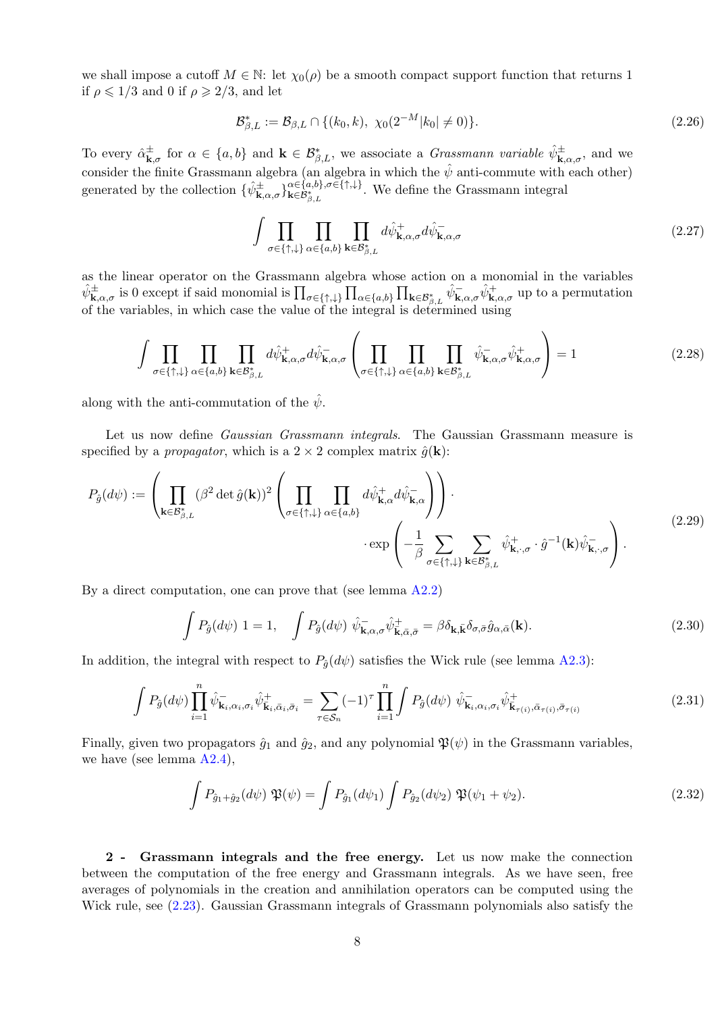we shall impose a cutoff  $M \in \mathbb{N}$ : let  $\chi_0(\rho)$  be a smooth compact support function that returns 1 if  $\rho \leq 1/3$  and 0 if  $\rho \geq 2/3$ , and let

$$
\mathcal{B}_{\beta,L}^* := \mathcal{B}_{\beta,L} \cap \{(k_0,k), \ \chi_0(2^{-M}|k_0| \neq 0)\}.
$$
 (2.26)

To every  $\hat{\alpha}_{\mathbf{k}}^{\pm}$  $\frac{\pm}{\mathbf{k},\sigma}$  for  $\alpha \in \{a,b\}$  and  $\mathbf{k} \in \mathcal{B}_{\beta,L}^*$ , we associate a *Grassmann variable*  $\hat{\psi}_{\mathbf{k},\alpha,\sigma}^{\pm}$ , and we consider the finite Grassmann algebra (an algebra in which the  $\hat{\psi}$  anti-commute with each other) generated by the collection  $\{\hat{\psi}_{\mathbf{k},\alpha,\sigma}^{\pm}\}_{\mathbf{k}\in\mathcal{B}_{\beta,L}^*}^{\alpha\in\{a,b\},\sigma\in\{\uparrow,\downarrow\}}$  $\mathbf{k} \in \mathcal{B}_{\beta,L}^{*}$ . We define the Grassmann integral

$$
\int \prod_{\sigma \in \{\uparrow,\downarrow\}} \prod_{\alpha \in \{a,b\}} \prod_{\mathbf{k} \in \mathcal{B}^*_{\beta,L}} d\hat{\psi}^+_{\mathbf{k},\alpha,\sigma} d\hat{\psi}^-_{\mathbf{k},\alpha,\sigma} \tag{2.27}
$$

as the linear operator on the Grassmann algebra whose action on a monomial in the variables  $\hat{\psi}^{\pm}_{\mathbf{k},\alpha,\sigma}$  is 0 except if said monomial is  $\prod_{\sigma \in \{\uparrow,\downarrow\}} \prod_{\alpha \in \{a,b\}} \prod_{\mathbf{k} \in \mathcal{B}^*_{\beta,L}} \hat{\psi}^-_{\mathbf{k},\alpha,\sigma} \hat{\psi}^+_{\mathbf{k},\alpha,\sigma}$  up to a permutation of the variables, in which case the value of the integral is determined using

$$
\int \prod_{\sigma \in \{\uparrow, \downarrow\}} \prod_{\alpha \in \{a, b\}} \prod_{\mathbf{k} \in \mathcal{B}_{\beta, L}^*} d\hat{\psi}_{\mathbf{k}, \alpha, \sigma}^+ d\hat{\psi}_{\mathbf{k}, \alpha, \sigma}^- \left( \prod_{\sigma \in \{\uparrow, \downarrow\}} \prod_{\alpha \in \{a, b\}} \prod_{\mathbf{k} \in \mathcal{B}_{\beta, L}^*} \hat{\psi}_{\mathbf{k}, \alpha, \sigma}^- \hat{\psi}_{\mathbf{k}, \alpha, \sigma}^+ \right) = 1 \tag{2.28}
$$

along with the anti-commutation of the  $\hat{\psi}$ .

Let us now define *Gaussian Grassmann integrals*. The Gaussian Grassmann measure is specified by a *propagator*, which is a  $2 \times 2$  complex matrix  $\hat{g}(\mathbf{k})$ :

$$
P_{\hat{g}}(d\psi) := \left(\prod_{\mathbf{k}\in\mathcal{B}_{\beta,L}^{*}} (\beta^{2} \det \hat{g}(\mathbf{k}))^{2} \left(\prod_{\sigma\in\{\uparrow,\downarrow\}} \prod_{\alpha\in\{a,b\}} d\hat{\psi}_{\mathbf{k},\alpha}^{\dagger} d\hat{\psi}_{\mathbf{k},\alpha}^{-} \right)\right) \cdot \exp\left(-\frac{1}{\beta} \sum_{\sigma\in\{\uparrow,\downarrow\}} \sum_{\mathbf{k}\in\mathcal{B}_{\beta,L}^{*}} \hat{\psi}_{\mathbf{k},\cdot,\sigma}^{+} \cdot \hat{g}^{-1}(\mathbf{k}) \hat{\psi}_{\mathbf{k},\cdot,\sigma}^{-} \right).
$$
\n(2.29)

By a direct computation, one can prove that (see lemma [A2.2\)](#page-28-0)

<span id="page-8-1"></span><span id="page-8-0"></span>
$$
\int P_{\hat{g}}(d\psi) \ 1 = 1, \quad \int P_{\hat{g}}(d\psi) \ \hat{\psi}_{\mathbf{k},\alpha,\sigma}^{-} \hat{\psi}_{\mathbf{k},\bar{\alpha},\bar{\sigma}}^{+} = \beta \delta_{\mathbf{k},\bar{\mathbf{k}}} \delta_{\sigma,\bar{\sigma}} \hat{g}_{\alpha,\bar{\alpha}}(\mathbf{k}). \tag{2.30}
$$

In addition, the integral with respect to  $P_{\hat{q}}(d\psi)$  satisfies the Wick rule (see lemma [A2.3\)](#page-29-0):

$$
\int P_{\hat{g}}(d\psi) \prod_{i=1}^{n} \hat{\psi}_{\mathbf{k}_{i},\alpha_{i},\sigma_{i}} \hat{\psi}_{\mathbf{k}_{i},\bar{\alpha}_{i},\bar{\sigma}_{i}}^{\dagger} = \sum_{\tau \in \mathcal{S}_{n}} (-1)^{\tau} \prod_{i=1}^{n} \int P_{\hat{g}}(d\psi) \hat{\psi}_{\mathbf{k}_{i},\alpha_{i},\sigma_{i}} \hat{\psi}_{\mathbf{k}_{\tau}(i),\bar{\alpha}_{\tau}(i),\bar{\sigma}_{\tau}(i)}^{\dagger}
$$
(2.31)

Finally, given two propagators  $\hat{g}_1$  and  $\hat{g}_2$ , and any polynomial  $\mathfrak{P}(\psi)$  in the Grassmann variables, we have (see lemma  $A2.4$ )

<span id="page-8-2"></span>
$$
\int P_{\hat{g}_1 + \hat{g}_2}(d\psi) \, \mathfrak{P}(\psi) = \int P_{\hat{g}_1}(d\psi_1) \int P_{\hat{g}_2}(d\psi_2) \, \mathfrak{P}(\psi_1 + \psi_2). \tag{2.32}
$$

2 - Grassmann integrals and the free energy. Let us now make the connection between the computation of the free energy and Grassmann integrals. As we have seen, free averages of polynomials in the creation and annihilation operators can be computed using the Wick rule, see [\(2.23\)](#page-7-1). Gaussian Grassmann integrals of Grassmann polynomials also satisfy the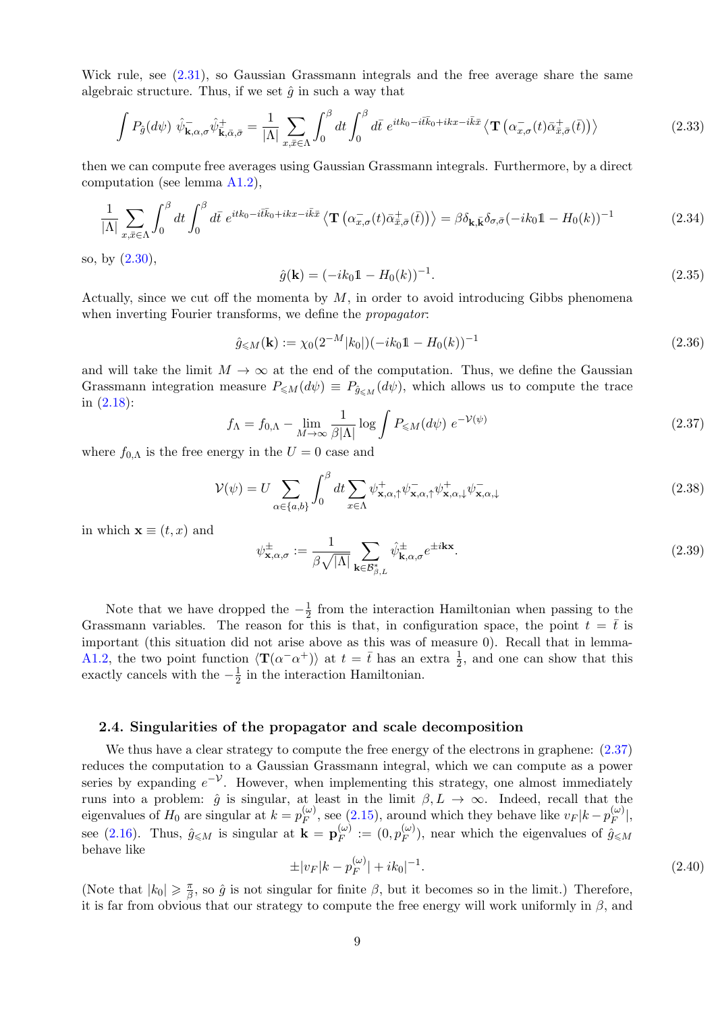Wick rule, see [\(2.31\)](#page-8-0), so Gaussian Grassmann integrals and the free average share the same algebraic structure. Thus, if we set  $\hat{g}$  in such a way that

$$
\int P_{\hat{g}}(d\psi) \ \hat{\psi}_{\mathbf{k},\alpha,\sigma}^{-} \hat{\psi}_{\mathbf{k},\bar{\alpha},\bar{\sigma}}^{+} = \frac{1}{|\Lambda|} \sum_{x,\bar{x} \in \Lambda} \int_{0}^{\beta} dt \int_{0}^{\beta} d\bar{t} \ e^{itk_{0}-i\bar{t}k_{0}+ikx-i\bar{k}\bar{x}} \left\langle \mathbf{T} \left( \alpha_{x,\sigma}^{-}(t)\bar{\alpha}_{\bar{x},\bar{\sigma}}^{+}(\bar{t}) \right) \right\rangle \tag{2.33}
$$

then we can compute free averages using Gaussian Grassmann integrals. Furthermore, by a direct computation (see lemma [A1.2\)](#page-22-0),

$$
\frac{1}{|\Lambda|} \sum_{x,\bar{x}\in\Lambda} \int_0^\beta dt \int_0^\beta d\bar{t} e^{itk_0 - i\bar{t}\bar{k}_0 + ikx - i\bar{k}\bar{x}} \left\langle \mathbf{T} \left( \alpha^-_{x,\sigma}(t) \bar{\alpha}^+_{\bar{x},\bar{\sigma}}(\bar{t}) \right) \right\rangle = \beta \delta_{\mathbf{k},\bar{\mathbf{k}}} \delta_{\sigma,\bar{\sigma}} (-ik_0 \mathbb{1} - H_0(k))^{-1}
$$
(2.34)

so, by [\(2.30\)](#page-8-1),

$$
\hat{g}(\mathbf{k}) = (-ik_0 \mathbb{1} - H_0(k))^{-1}.
$$
\n(2.35)

Actually, since we cut off the momenta by  $M$ , in order to avoid introducing Gibbs phenomena when inverting Fourier transforms, we define the *propagator*:

$$
\hat{g}_{\leq M}(\mathbf{k}) := \chi_0(2^{-M}|k_0|)(-ik_0 \mathbb{1} - H_0(k))^{-1}
$$
\n(2.36)

and will take the limit  $M \to \infty$  at the end of the computation. Thus, we define the Gaussian Grassmann integration measure  $P_{\leq M}(d\psi) \equiv P_{\hat{q}_{\leq M}}(d\psi)$ , which allows us to compute the trace in [\(2.18\)](#page-7-2):

$$
f_{\Lambda} = f_{0,\Lambda} - \lim_{M \to \infty} \frac{1}{\beta |\Lambda|} \log \int P_{\leq M}(d\psi) e^{-\mathcal{V}(\psi)} \tag{2.37}
$$

<span id="page-9-1"></span>where  $f_{0,\Lambda}$  is the free energy in the  $U=0$  case and

$$
\mathcal{V}(\psi) = U \sum_{\alpha \in \{a,b\}} \int_0^\beta dt \sum_{x \in \Lambda} \psi_{\mathbf{x},\alpha,\uparrow}^+ \psi_{\mathbf{x},\alpha,\downarrow}^- \psi_{\mathbf{x},\alpha,\downarrow}^+ \psi_{\mathbf{x},\alpha,\downarrow}^- \tag{2.38}
$$

in which  $\mathbf{x} \equiv (t, x)$  and

<span id="page-9-2"></span>
$$
\psi_{\mathbf{x},\alpha,\sigma}^{\pm} := \frac{1}{\beta\sqrt{|\Lambda|}} \sum_{\mathbf{k}\in\mathcal{B}_{\beta,L}^*} \hat{\psi}_{\mathbf{k},\alpha,\sigma}^{\pm} e^{\pm i\mathbf{k}\mathbf{x}}.
$$
\n(2.39)

Note that we have dropped the  $-\frac{1}{2}$  $\frac{1}{2}$  from the interaction Hamiltonian when passing to the Grassmann variables. The reason for this is that, in configuration space, the point  $t = \bar{t}$  is important (this situation did not arise above as this was of measure 0). Recall that in lemma-[A1.2,](#page-22-0) the two point function  $\langle T(\alpha^- \alpha^+) \rangle$  at  $t = \bar{t}$  has an extra  $\frac{1}{2}$ , and one can show that this exactly cancels with the  $-\frac{1}{2}$  $\frac{1}{2}$  in the interaction Hamiltonian.

### <span id="page-9-0"></span>2.4. Singularities of the propagator and scale decomposition

We thus have a clear strategy to compute the free energy of the electrons in graphene:  $(2.37)$ reduces the computation to a Gaussian Grassmann integral, which we can compute as a power series by expanding  $e^{-\mathcal{V}}$ . However, when implementing this strategy, one almost immediately runs into a problem:  $\hat{g}$  is singular, at least in the limit  $\beta, L \to \infty$ . Indeed, recall that the eigenvalues of  $H_0$  are singular at  $k = p_F^{(\omega)}$  $\mathcal{L}_{F}^{(\omega)}$ , see [\(2.15\)](#page-6-1), around which they behave like  $v_F |k - p_F^{(\omega)}|$  $\vert_{F}^{(\omega)}\vert,$ see [\(2.16\)](#page-6-2). Thus,  $\hat{g}_{\leqslant M}$  is singular at  $\mathbf{k} = \mathbf{p}_F^{(\omega)}$  $\stackrel{(\omega)}{F}:=(0,p_F^{(\omega)}$  $(\mathcal{C}_F^{(\omega)})$ , near which the eigenvalues of  $\hat{g}_{\leq M}$ behave like

$$
\pm |v_F|k - p_F^{(\omega)}| + ik_0|^{-1}.
$$
\n(2.40)

(Note that  $|k_0| \geq \frac{\pi}{\beta}$  $\frac{\pi}{\beta}$ , so  $\hat{g}$  is not singular for finite  $\beta$ , but it becomes so in the limit.) Therefore, it is far from obvious that our strategy to compute the free energy will work uniformly in  $\beta$ , and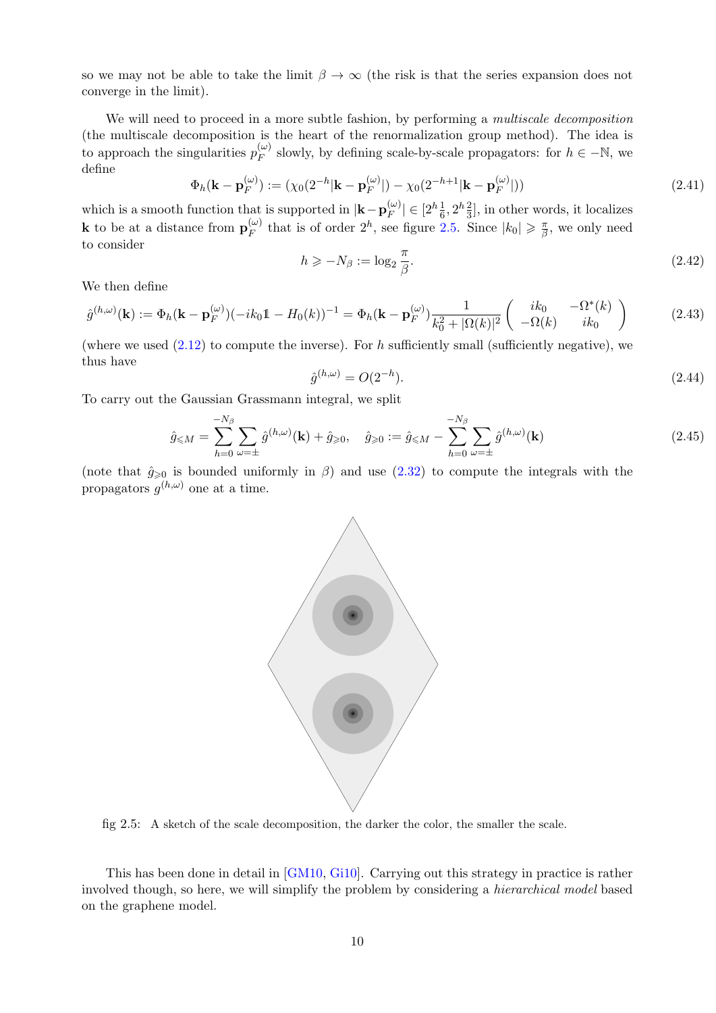so we may not be able to take the limit  $\beta \to \infty$  (the risk is that the series expansion does not converge in the limit).

We will need to proceed in a more subtle fashion, by performing a multiscale decomposition (the multiscale decomposition is the heart of the renormalization group method). The idea is to approach the singularities  $p_F^{(\omega)}$  $\binom{(\omega)}{F}$  slowly, by defining scale-by-scale propagators: for  $h \in -\mathbb{N}$ , we define

$$
\Phi_h(\mathbf{k} - \mathbf{p}_F^{(\omega)}) := (\chi_0(2^{-h}|\mathbf{k} - \mathbf{p}_F^{(\omega)}|) - \chi_0(2^{-h+1}|\mathbf{k} - \mathbf{p}_F^{(\omega)}|))
$$
\n(2.41)

<span id="page-10-2"></span>which is a smooth function that is supported in  $|\mathbf{k}-\mathbf{p}_F^{(\omega)}|$  $|_{F}^{(\omega)}| \in [2^h \frac{1}{6}, 2^h \frac{2}{3}],$  in other words, it localizes **k** to be at a distance from  $\mathbf{p}_{F}^{(\omega)}$  $\binom{\omega}{F}$  that is of order  $2^h$ , see figure [2.5.](#page-10-0) Since  $|k_0| \geq \frac{\pi}{\beta}$  $\frac{\pi}{\beta}$ , we only need to consider

$$
h \ge -N_{\beta} := \log_2 \frac{\pi}{\beta}.\tag{2.42}
$$

We then define

<span id="page-10-1"></span>
$$
\hat{g}^{(h,\omega)}(\mathbf{k}) := \Phi_h(\mathbf{k} - \mathbf{p}_F^{(\omega)}) (-ik_0 \mathbb{1} - H_0(k))^{-1} = \Phi_h(\mathbf{k} - \mathbf{p}_F^{(\omega)}) \frac{1}{k_0^2 + |\Omega(k)|^2} \begin{pmatrix} ik_0 & -\Omega^*(k) \\ -\Omega(k) & ik_0 \end{pmatrix}
$$
(2.43)

(where we used  $(2.12)$  to compute the inverse). For h sufficiently small (sufficiently negative), we thus have

$$
\hat{g}^{(h,\omega)} = O(2^{-h}).\tag{2.44}
$$

To carry out the Gaussian Grassmann integral, we split

$$
\hat{g}_{\leq M} = \sum_{h=0}^{-N_{\beta}} \sum_{\omega=\pm} \hat{g}^{(h,\omega)}(\mathbf{k}) + \hat{g}_{\geq 0}, \quad \hat{g}_{\geq 0} := \hat{g}_{\leq M} - \sum_{h=0}^{-N_{\beta}} \sum_{\omega=\pm} \hat{g}^{(h,\omega)}(\mathbf{k})
$$
\n(2.45)

(note that  $\hat{g}_{\geqslant 0}$  is bounded uniformly in  $\beta$ ) and use [\(2.32\)](#page-8-2) to compute the integrals with the propagators  $g^{(h,\omega)}$  one at a time.



<span id="page-10-0"></span>fig 2.5: A sketch of the scale decomposition, the darker the color, the smaller the scale.

This has been done in detail in [\[GM10,](#page-32-7) [Gi10\]](#page-31-4). Carrying out this strategy in practice is rather involved though, so here, we will simplify the problem by considering a hierarchical model based on the graphene model.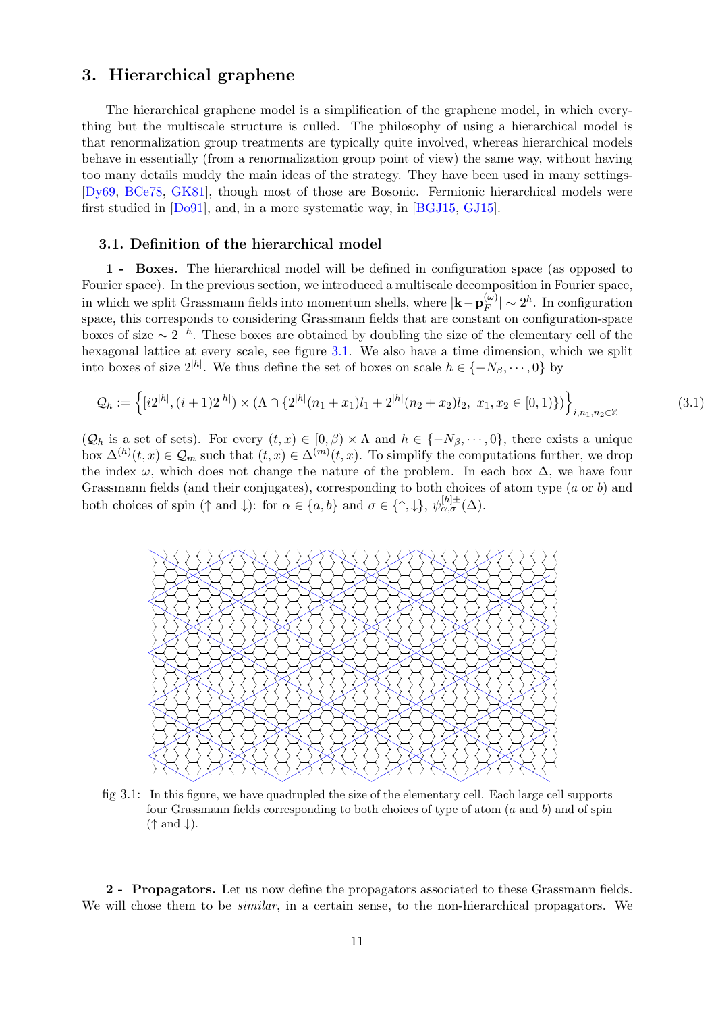# <span id="page-11-0"></span>3. Hierarchical graphene

The hierarchical graphene model is a simplification of the graphene model, in which everything but the multiscale structure is culled. The philosophy of using a hierarchical model is that renormalization group treatments are typically quite involved, whereas hierarchical models behave in essentially (from a renormalization group point of view) the same way, without having too many details muddy the main ideas of the strategy. They have been used in many settings- [\[Dy69,](#page-31-5) [BCe78,](#page-31-6) [GK81\]](#page-31-7), though most of those are Bosonic. Fermionic hierarchical models were first studied in [\[Do91\]](#page-31-8), and, in a more systematic way, in [\[BGJ15,](#page-31-9) [GJ15\]](#page-31-10).

### <span id="page-11-1"></span>3.1. Definition of the hierarchical model

1 - Boxes. The hierarchical model will be defined in configuration space (as opposed to Fourier space). In the previous section, we introduced a multiscale decomposition in Fourier space, in which we split Grassmann fields into momentum shells, where  $|\mathbf{k} - \mathbf{p}_F^{(\omega)}|$  $|_{F}^{(\omega)}| \sim 2^h$ . In configuration space, this corresponds to considering Grassmann fields that are constant on configuration-space boxes of size  $\sim 2^{-h}$ . These boxes are obtained by doubling the size of the elementary cell of the hexagonal lattice at every scale, see figure [3.1.](#page-11-2) We also have a time dimension, which we split into boxes of size  $2^{|h|}$ . We thus define the set of boxes on scale  $h \in \{-N_\beta, \dots, 0\}$  by

$$
\mathcal{Q}_h := \left\{ [i2^{|h|}, (i+1)2^{|h|}) \times (\Lambda \cap \{2^{|h|}(n_1+x_1)l_1+2^{|h|}(n_2+x_2)l_2, x_1, x_2 \in [0,1)\}) \right\}_{i,n_1,n_2 \in \mathbb{Z}}
$$
(3.1)

 $(Q_h \text{ is a set of sets}).$  For every  $(t, x) \in [0, \beta) \times \Lambda$  and  $h \in \{-N_\beta, \cdots, 0\}$ , there exists a unique box  $\Delta^{(h)}(t,x) \in \mathcal{Q}_m$  such that  $(t,x) \in \Delta^{(m)}(t,x)$ . To simplify the computations further, we drop the index  $\omega$ , which does not change the nature of the problem. In each box  $\Delta$ , we have four Grassmann fields (and their conjugates), corresponding to both choices of atom type (a or b) and both choices of spin ( $\uparrow$  and  $\downarrow$ ): for  $\alpha \in \{a, b\}$  and  $\sigma \in \{\uparrow, \downarrow\}, \psi_{\alpha, \sigma}^{[h] \pm}(\Delta)$ .



<span id="page-11-2"></span>fig 3.1: In this figure, we have quadrupled the size of the elementary cell. Each large cell supports four Grassmann fields corresponding to both choices of type of atom  $(a \text{ and } b)$  and of spin  $(\uparrow$  and  $\downarrow$ ).

2 - Propagators. Let us now define the propagators associated to these Grassmann fields. We will chose them to be *similar*, in a certain sense, to the non-hierarchical propagators. We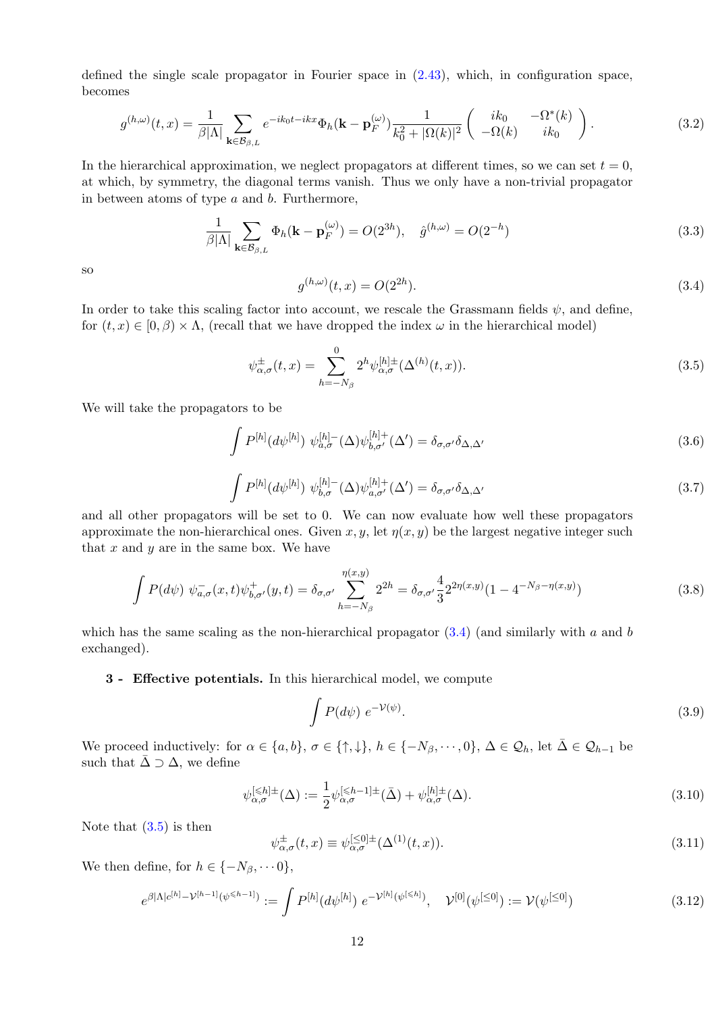defined the single scale propagator in Fourier space in  $(2.43)$ , which, in configuration space, becomes

$$
g^{(h,\omega)}(t,x) = \frac{1}{\beta|\Lambda|} \sum_{\mathbf{k}\in\mathcal{B}_{\beta,L}} e^{-ik_0t - ikx} \Phi_h(\mathbf{k} - \mathbf{p}_F^{(\omega)}) \frac{1}{k_0^2 + |\Omega(k)|^2} \begin{pmatrix} ik_0 & -\Omega^*(k) \\ -\Omega(k) & ik_0 \end{pmatrix}.
$$
 (3.2)

In the hierarchical approximation, we neglect propagators at different times, so we can set  $t = 0$ , at which, by symmetry, the diagonal terms vanish. Thus we only have a non-trivial propagator in between atoms of type  $a$  and  $b$ . Furthermore,

$$
\frac{1}{\beta|\Lambda|} \sum_{\mathbf{k}\in\mathcal{B}_{\beta,L}} \Phi_h(\mathbf{k}-\mathbf{p}_F^{(\omega)}) = O(2^{3h}), \quad \hat{g}^{(h,\omega)} = O(2^{-h})
$$
\n(3.3)

<span id="page-12-0"></span>so

<span id="page-12-1"></span>
$$
g^{(h,\omega)}(t,x) = O(2^{2h}).
$$
\n(3.4)

In order to take this scaling factor into account, we rescale the Grassmann fields  $\psi$ , and define, for  $(t, x) \in [0, \beta) \times \Lambda$ , (recall that we have dropped the index  $\omega$  in the hierarchical model)

$$
\psi_{\alpha,\sigma}^{\pm}(t,x) = \sum_{h=-N_{\beta}}^{0} 2^{h} \psi_{\alpha,\sigma}^{[h]\pm}(\Delta^{(h)}(t,x)).
$$
\n(3.5)

We will take the propagators to be

$$
\int P^{[h]}(d\psi^{[h]}) \ \psi_{a,\sigma}^{[h]}(\Delta)\psi_{b,\sigma'}^{[h]+}(\Delta') = \delta_{\sigma,\sigma'}\delta_{\Delta,\Delta'} \tag{3.6}
$$

$$
\int P^{[h]}(d\psi^{[h]}) \ \psi^{[h]-}_{b,\sigma}(\Delta)\psi^{[h]+}_{a,\sigma'}(\Delta') = \delta_{\sigma,\sigma'}\delta_{\Delta,\Delta'} \tag{3.7}
$$

and all other propagators will be set to 0. We can now evaluate how well these propagators approximate the non-hierarchical ones. Given x, y, let  $\eta(x, y)$  be the largest negative integer such that  $x$  and  $y$  are in the same box. We have

$$
\int P(d\psi) \ \psi_{a,\sigma}^{-}(x,t)\psi_{b,\sigma'}^{+}(y,t) = \delta_{\sigma,\sigma'} \sum_{h=-N_{\beta}}^{\eta(x,y)} 2^{2h} = \delta_{\sigma,\sigma'} \frac{4}{3} 2^{2\eta(x,y)} (1 - 4^{-N_{\beta} - \eta(x,y)})
$$
(3.8)

which has the same scaling as the non-hierarchical propagator  $(3.4)$  (and similarly with a and b exchanged).

### 3 - Effective potentials. In this hierarchical model, we compute

$$
\int P(d\psi) e^{-\mathcal{V}(\psi)}.
$$
\n(3.9)

We proceed inductively: for  $\alpha \in \{a, b\}$ ,  $\sigma \in \{\uparrow, \downarrow\}$ ,  $h \in \{-N_\beta, \dots, 0\}$ ,  $\Delta \in \mathcal{Q}_h$ , let  $\bar{\Delta} \in \mathcal{Q}_{h-1}$  be such that  $\bar{\Delta} \supset \Delta$ , we define

<span id="page-12-3"></span>
$$
\psi_{\alpha,\sigma}^{[\leq h]\pm}(\Delta) := \frac{1}{2} \psi_{\alpha,\sigma}^{[\leq h-1]\pm}(\bar{\Delta}) + \psi_{\alpha,\sigma}^{[h]\pm}(\Delta). \tag{3.10}
$$

Note that  $(3.5)$  is then

<span id="page-12-2"></span>
$$
\psi_{\alpha,\sigma}^{\pm}(t,x) \equiv \psi_{\alpha,\sigma}^{[\leq 0]\pm}(\Delta^{(1)}(t,x)). \tag{3.11}
$$

We then define, for  $h \in \{-N_\beta, \dots 0\},\$ 

$$
e^{\beta |\Lambda| c^{[h]} - \mathcal{V}^{[h-1]}(\psi^{\leq h-1]})} := \int P^{[h]}(d\psi^{[h]}) e^{-\mathcal{V}^{[h]}(\psi^{[\leq h]})}, \quad \mathcal{V}^{[0]}(\psi^{[\leq 0]}) := \mathcal{V}(\psi^{[\leq 0]})
$$
\n(3.12)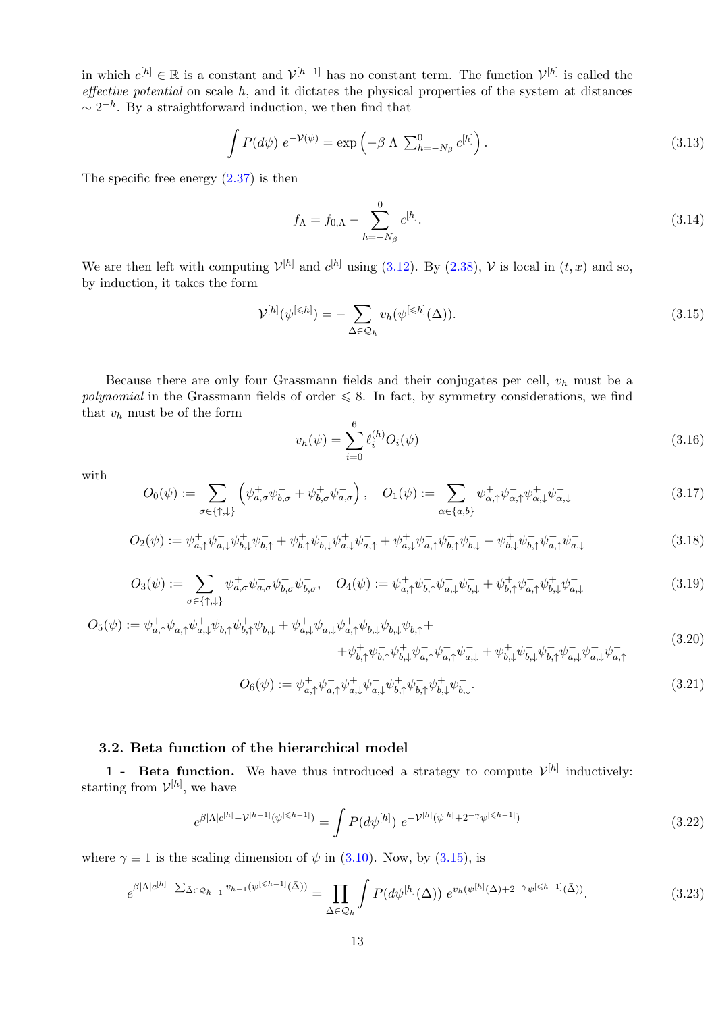in which  $c^{[h]} \in \mathbb{R}$  is a constant and  $\mathcal{V}^{[h-1]}$  has no constant term. The function  $\mathcal{V}^{[h]}$  is called the effective potential on scale  $h$ , and it dictates the physical properties of the system at distances  $\sim 2^{-h}$ . By a straightforward induction, we then find that

$$
\int P(d\psi) e^{-\mathcal{V}(\psi)} = \exp\left(-\beta |\Lambda| \sum_{h=-N_{\beta}}^{0} c^{[h]}\right).
$$
\n(3.13)

The specific free energy [\(2.37\)](#page-9-1) is then

$$
f_{\Lambda} = f_{0,\Lambda} - \sum_{h=-N_{\beta}}^{0} c^{[h]}.
$$
\n(3.14)

We are then left with computing  $\mathcal{V}^{[h]}$  and  $c^{[h]}$  using [\(3.12\)](#page-12-2). By [\(2.38\)](#page-9-2),  $\mathcal{V}$  is local in  $(t, x)$  and so, by induction, it takes the form

<span id="page-13-1"></span>
$$
\mathcal{V}^{[h]}(\psi^{[\leq h]}) = -\sum_{\Delta \in \mathcal{Q}_h} v_h(\psi^{[\leq h]}(\Delta)). \tag{3.15}
$$

Because there are only four Grassmann fields and their conjugates per cell,  $v_h$  must be a polynomial in the Grassmann fields of order  $\leq 8$ . In fact, by symmetry considerations, we find that  $v_h$  must be of the form

<span id="page-13-2"></span>
$$
v_h(\psi) = \sum_{i=0}^{6} \ell_i^{(h)} O_i(\psi)
$$
\n(3.16)

with

$$
O_0(\psi) := \sum_{\sigma \in \{\uparrow, \downarrow\}} \left( \psi^+_{a,\sigma} \psi^-_{b,\sigma} + \psi^+_{b,\sigma} \psi^-_{a,\sigma} \right), \quad O_1(\psi) := \sum_{\alpha \in \{a,b\}} \psi^+_{\alpha,\uparrow} \psi^-_{\alpha,\uparrow} \psi^+_{\alpha,\downarrow} \psi^-_{\alpha,\downarrow} \tag{3.17}
$$

$$
O_2(\psi) := \psi_{a,\uparrow}^+ \psi_{a,\downarrow}^- \psi_{b,\downarrow}^+ \psi_{b,\uparrow}^- + \psi_{b,\uparrow}^+ \psi_{b,\downarrow}^- \psi_{a,\downarrow}^+ \psi_{a,\uparrow}^- + \psi_{a,\downarrow}^+ \psi_{a,\uparrow}^- \psi_{b,\uparrow}^+ \psi_{b,\downarrow}^- + \psi_{b,\downarrow}^+ \psi_{b,\uparrow}^- \psi_{a,\uparrow}^+ \psi_{a,\downarrow}^- \tag{3.18}
$$

$$
O_3(\psi) := \sum_{\sigma \in \{\uparrow, \downarrow\}} \psi_{a,\sigma}^+ \psi_{a,\sigma}^- \psi_{b,\sigma}^+ \psi_{b,\sigma}^- , \quad O_4(\psi) := \psi_{a,\uparrow}^+ \psi_{b,\uparrow}^- \psi_{a,\downarrow}^+ \psi_{b,\downarrow}^- + \psi_{b,\uparrow}^+ \psi_{a,\uparrow}^- \psi_{b,\downarrow}^+ \psi_{a,\downarrow}^- \tag{3.19}
$$

$$
O_{5}(\psi) := \psi_{a,\uparrow}^{+} \psi_{a,\uparrow}^{-} \psi_{b,\uparrow}^{+} \psi_{b,\uparrow}^{-} \psi_{b,\downarrow}^{+} + \psi_{a,\downarrow}^{+} \psi_{a,\downarrow}^{-} \psi_{a,\uparrow}^{+} \psi_{b,\downarrow}^{-} \psi_{b,\downarrow}^{+} \psi_{b,\downarrow}^{-} + \psi_{b,\downarrow}^{+} \psi_{a,\uparrow}^{-} \psi_{a,\uparrow}^{+} \psi_{a,\downarrow}^{-} + \psi_{b,\downarrow}^{+} \psi_{a,\downarrow}^{-} \psi_{b,\downarrow}^{+} \psi_{b,\downarrow}^{-} \psi_{b,\downarrow}^{+} \psi_{a,\downarrow}^{-} \psi_{a,\downarrow}^{+} \psi_{a,\downarrow}^{-}.
$$
\n
$$
(3.20)
$$

$$
O_6(\psi) := \psi_{a,\uparrow}^+ \psi_{a,\uparrow}^- \psi_{a,\downarrow}^+ \psi_{a,\downarrow}^- \psi_{b,\uparrow}^+ \psi_{b,\uparrow}^- \psi_{b,\downarrow}^+ \psi_{b,\downarrow}^-.
$$
\n(3.21)

### <span id="page-13-0"></span>3.2. Beta function of the hierarchical model

**1** - Beta function. We have thus introduced a strategy to compute  $\mathcal{V}^{[h]}$  inductively: starting from  $\mathcal{V}^{[h]}$ , we have

$$
e^{\beta|\Lambda|c^{[h]} - \mathcal{V}^{[h-1]}(\psi^{[\leq h-1]})} = \int P(d\psi^{[h]}) e^{-\mathcal{V}^{[h]}(\psi^{[h]} + 2^{-\gamma}\psi^{[\leq h-1]})}
$$
(3.22)

where  $\gamma \equiv 1$  is the scaling dimension of  $\psi$  in [\(3.10\)](#page-12-3). Now, by [\(3.15\)](#page-13-1), is

$$
e^{\beta|\Lambda|c^{[h]} + \sum_{\bar{\Delta}\in\mathcal{Q}_{h-1}} v_{h-1}(\psi^{[\leq h-1]}(\bar{\Delta}))} = \prod_{\Delta\in\mathcal{Q}_h} \int P(d\psi^{[h]}(\Delta)) e^{v_h(\psi^{[h]}(\Delta) + 2^{-\gamma}\psi^{[\leq h-1]}(\bar{\Delta}))}.
$$
\n(3.23)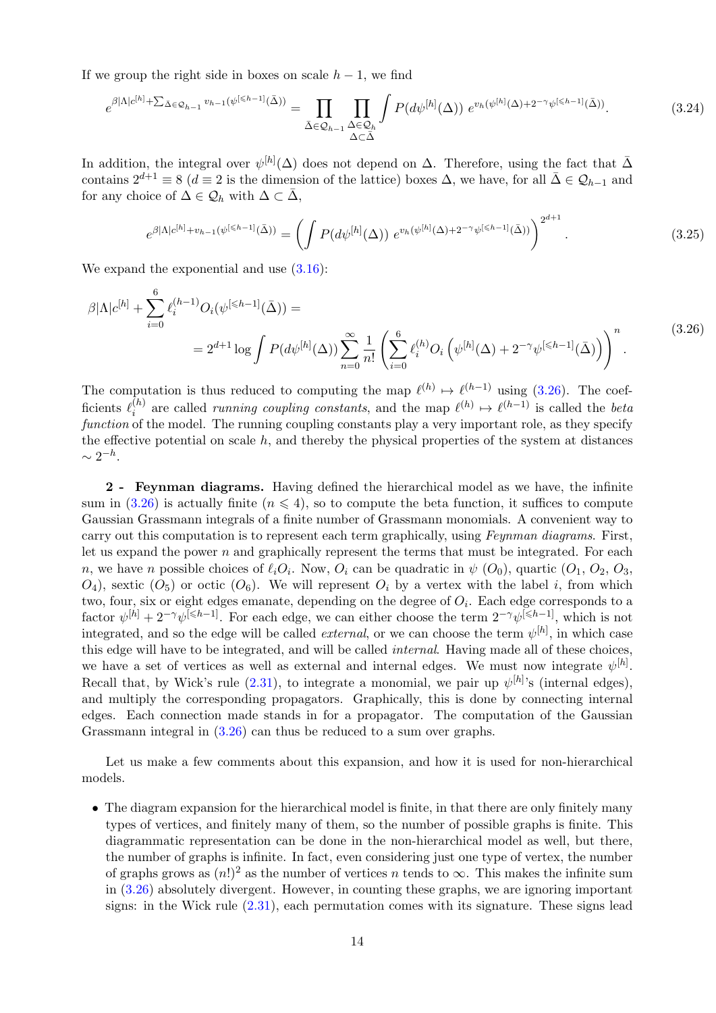If we group the right side in boxes on scale  $h-1$ , we find

$$
e^{\beta|\Lambda|c^{[h]} + \sum_{\bar{\Delta}\in\mathcal{Q}_{h-1}} v_{h-1}(\psi^{[\leq h-1]}(\bar{\Delta}))} = \prod_{\bar{\Delta}\in\mathcal{Q}_{h-1}} \prod_{\substack{\Delta\in\mathcal{Q}_h \\ \Delta\subset\bar{\Delta}}} \int P(d\psi^{[h]}(\Delta)) e^{v_h(\psi^{[h]}(\Delta) + 2^{-\gamma}\psi^{[\leq h-1]}(\bar{\Delta}))}.
$$
\n(3.24)

In addition, the integral over  $\psi^{[h]}(\Delta)$  does not depend on  $\Delta$ . Therefore, using the fact that  $\bar{\Delta}$ contains  $2^{d+1} \equiv 8$  ( $d \equiv 2$  is the dimension of the lattice) boxes  $\Delta$ , we have, for all  $\bar{\Delta} \in \mathcal{Q}_{h-1}$  and for any choice of  $\Delta \in \mathcal{Q}_h$  with  $\Delta \subset \bar{\Delta}$ ,

<span id="page-14-0"></span>
$$
e^{\beta|\Lambda|c^{[h]} + v_{h-1}(\psi^{[\leq h-1]}(\bar{\Delta}))} = \left(\int P(d\psi^{[h]}(\Delta)) e^{v_h(\psi^{[h]}(\Delta) + 2^{-\gamma}\psi^{[\leq h-1]}(\bar{\Delta}))}\right)^{2^{d+1}}.
$$
\n(3.25)

We expand the exponential and use  $(3.16)$ :

$$
\beta |\Lambda| c^{[h]} + \sum_{i=0}^{6} \ell_i^{(h-1)} O_i(\psi^{[\leq h-1]}(\bar{\Delta})) =
$$
  
=  $2^{d+1} \log \int P(d\psi^{[h]}(\Delta)) \sum_{n=0}^{\infty} \frac{1}{n!} \left( \sum_{i=0}^{6} \ell_i^{(h)} O_i(\psi^{[h]}(\Delta) + 2^{-\gamma} \psi^{[\leq h-1]}(\bar{\Delta})) \right)^n$ . (3.26)

The computation is thus reduced to computing the map  $\ell^{(h)} \mapsto \ell^{(h-1)}$  using [\(3.26\)](#page-14-0). The coefficients  $\ell_i^{(h)}$  $\ell^{(h)}$  are called *running coupling constants*, and the map  $\ell^{(h)} \mapsto \ell^{(h-1)}$  is called the *beta* function of the model. The running coupling constants play a very important role, as they specify the effective potential on scale  $h$ , and thereby the physical properties of the system at distances  $\sim 2^{-h}$ .

2 - Feynman diagrams. Having defined the hierarchical model as we have, the infinite sum in [\(3.26\)](#page-14-0) is actually finite ( $n \leq 4$ ), so to compute the beta function, it suffices to compute Gaussian Grassmann integrals of a finite number of Grassmann monomials. A convenient way to carry out this computation is to represent each term graphically, using Feynman diagrams. First, let us expand the power  $n$  and graphically represent the terms that must be integrated. For each n, we have n possible choices of  $\ell_i O_i$ . Now,  $O_i$  can be quadratic in  $\psi$   $(O_0)$ , quartic  $(O_1, O_2, O_3,$  $O_4$ ), sextic  $(O_5)$  or octic  $(O_6)$ . We will represent  $O_i$  by a vertex with the label i, from which two, four, six or eight edges emanate, depending on the degree of  $O_i$ . Each edge corresponds to a factor  $\psi^{[h]} + 2^{-\gamma} \psi^{[\leq h-1]}$ . For each edge, we can either choose the term  $2^{-\gamma} \psi^{[\leq h-1]}$ , which is not integrated, and so the edge will be called *external*, or we can choose the term  $\psi^{[h]}$ , in which case this edge will have to be integrated, and will be called internal. Having made all of these choices, we have a set of vertices as well as external and internal edges. We must now integrate  $\psi^{[h]}$ . Recall that, by Wick's rule  $(2.31)$ , to integrate a monomial, we pair up  $\psi^{[h]}$ 's (internal edges), and multiply the corresponding propagators. Graphically, this is done by connecting internal edges. Each connection made stands in for a propagator. The computation of the Gaussian Grassmann integral in [\(3.26\)](#page-14-0) can thus be reduced to a sum over graphs.

Let us make a few comments about this expansion, and how it is used for non-hierarchical models.

• The diagram expansion for the hierarchical model is finite, in that there are only finitely many types of vertices, and finitely many of them, so the number of possible graphs is finite. This diagrammatic representation can be done in the non-hierarchical model as well, but there, the number of graphs is infinite. In fact, even considering just one type of vertex, the number of graphs grows as  $(n!)^2$  as the number of vertices n tends to  $\infty$ . This makes the infinite sum in [\(3.26\)](#page-14-0) absolutely divergent. However, in counting these graphs, we are ignoring important signs: in the Wick rule [\(2.31\)](#page-8-0), each permutation comes with its signature. These signs lead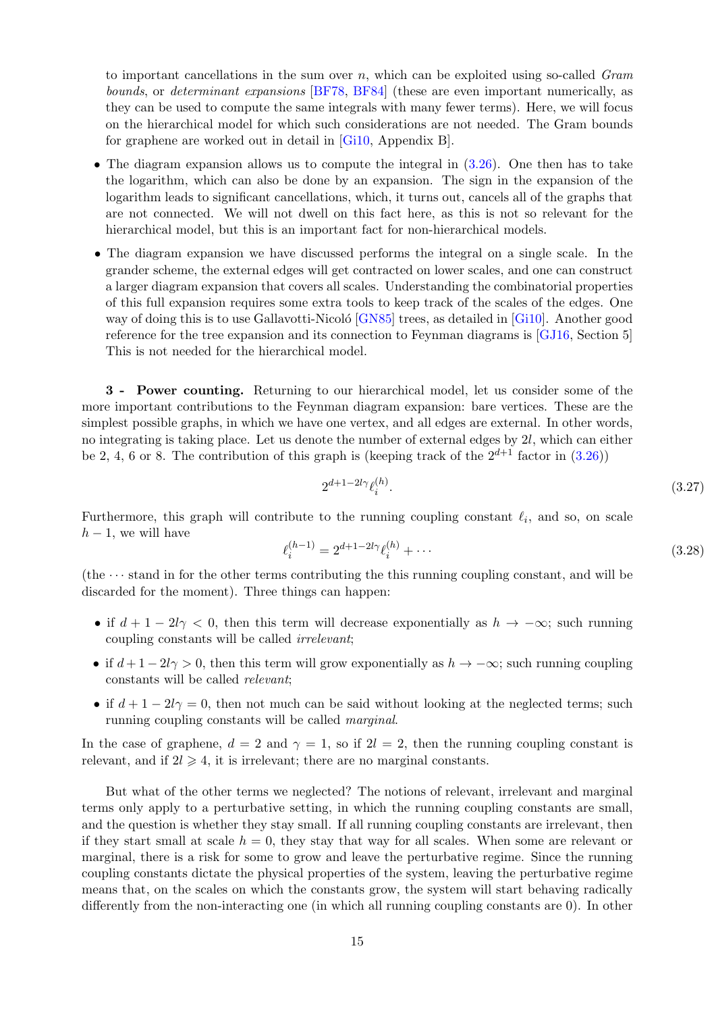to important cancellations in the sum over  $n$ , which can be exploited using so-called Gram bounds, or determinant expansions [\[BF78,](#page-31-13) [BF84\]](#page-31-14) (these are even important numerically, as they can be used to compute the same integrals with many fewer terms). Here, we will focus on the hierarchical model for which such considerations are not needed. The Gram bounds for graphene are worked out in detail in [\[Gi10,](#page-31-4) Appendix B].

- The diagram expansion allows us to compute the integral in  $(3.26)$ . One then has to take the logarithm, which can also be done by an expansion. The sign in the expansion of the logarithm leads to significant cancellations, which, it turns out, cancels all of the graphs that are not connected. We will not dwell on this fact here, as this is not so relevant for the hierarchical model, but this is an important fact for non-hierarchical models.
- The diagram expansion we have discussed performs the integral on a single scale. In the grander scheme, the external edges will get contracted on lower scales, and one can construct a larger diagram expansion that covers all scales. Understanding the combinatorial properties of this full expansion requires some extra tools to keep track of the scales of the edges. One way of doing this is to use Gallavotti-Nicoló [\[GN85\]](#page-31-15) trees, as detailed in [\[Gi10\]](#page-31-4). Another good reference for the tree expansion and its connection to Feynman diagrams is [\[GJ16,](#page-32-10) Section 5] This is not needed for the hierarchical model.

3 - Power counting. Returning to our hierarchical model, let us consider some of the more important contributions to the Feynman diagram expansion: bare vertices. These are the simplest possible graphs, in which we have one vertex, and all edges are external. In other words, no integrating is taking place. Let us denote the number of external edges by 2l, which can either be 2, 4, 6 or 8. The contribution of this graph is (keeping track of the  $2^{d+1}$  factor in  $(3.26)$ )

$$
2^{d+1-2l\gamma} \ell_i^{(h)}.\tag{3.27}
$$

Furthermore, this graph will contribute to the running coupling constant  $\ell_i$ , and so, on scale  $h-1$ , we will have

$$
\ell_i^{(h-1)} = 2^{d+1-2l\gamma} \ell_i^{(h)} + \cdots \tag{3.28}
$$

(the  $\cdots$  stand in for the other terms contributing the this running coupling constant, and will be discarded for the moment). Three things can happen:

- if  $d + 1 2l\gamma < 0$ , then this term will decrease exponentially as  $h \to -\infty$ ; such running coupling constants will be called irrelevant;
- if  $d+1-2l\gamma > 0$ , then this term will grow exponentially as  $h \to -\infty$ ; such running coupling constants will be called relevant;
- if  $d+1-2i\gamma=0$ , then not much can be said without looking at the neglected terms; such running coupling constants will be called marginal.

In the case of graphene,  $d = 2$  and  $\gamma = 1$ , so if  $2l = 2$ , then the running coupling constant is relevant, and if  $2l \geq 4$ , it is irrelevant; there are no marginal constants.

But what of the other terms we neglected? The notions of relevant, irrelevant and marginal terms only apply to a perturbative setting, in which the running coupling constants are small, and the question is whether they stay small. If all running coupling constants are irrelevant, then if they start small at scale  $h = 0$ , they stay that way for all scales. When some are relevant or marginal, there is a risk for some to grow and leave the perturbative regime. Since the running coupling constants dictate the physical properties of the system, leaving the perturbative regime means that, on the scales on which the constants grow, the system will start behaving radically differently from the non-interacting one (in which all running coupling constants are 0). In other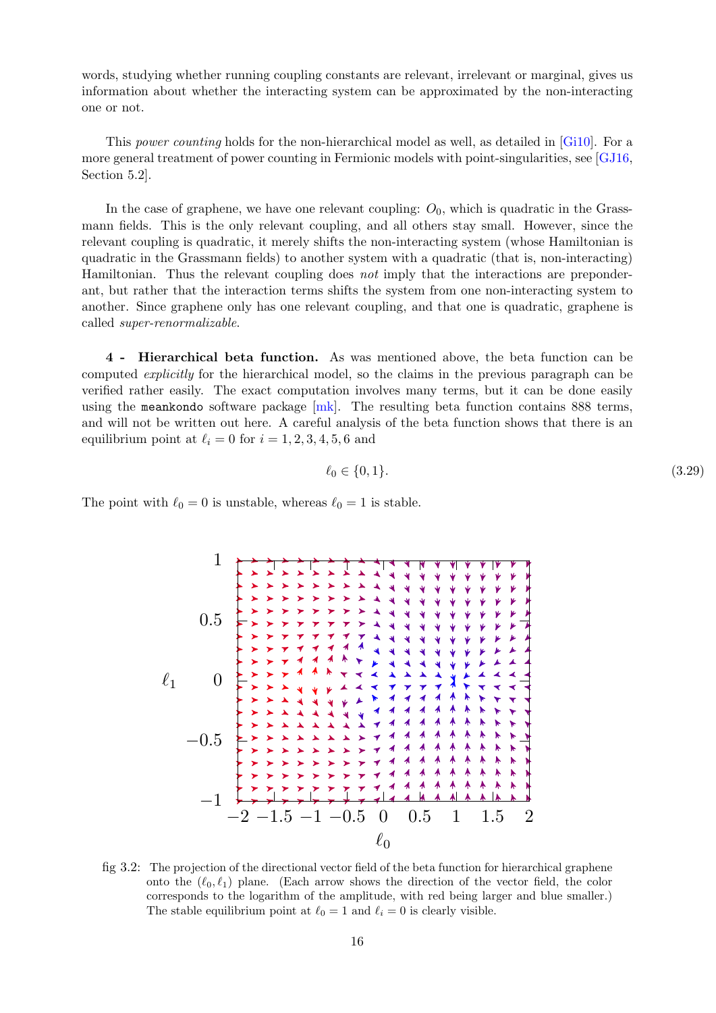words, studying whether running coupling constants are relevant, irrelevant or marginal, gives us information about whether the interacting system can be approximated by the non-interacting one or not.

This power counting holds for the non-hierarchical model as well, as detailed in [\[Gi10\]](#page-31-4). For a more general treatment of power counting in Fermionic models with point-singularities, see [\[GJ16,](#page-32-10) Section 5.2].

In the case of graphene, we have one relevant coupling:  $O_0$ , which is quadratic in the Grassmann fields. This is the only relevant coupling, and all others stay small. However, since the relevant coupling is quadratic, it merely shifts the non-interacting system (whose Hamiltonian is quadratic in the Grassmann fields) to another system with a quadratic (that is, non-interacting) Hamiltonian. Thus the relevant coupling does not imply that the interactions are preponderant, but rather that the interaction terms shifts the system from one non-interacting system to another. Since graphene only has one relevant coupling, and that one is quadratic, graphene is called super-renormalizable.

4 - Hierarchical beta function. As was mentioned above, the beta function can be computed explicitly for the hierarchical model, so the claims in the previous paragraph can be verified rather easily. The exact computation involves many terms, but it can be done easily using the meankondo software package  $[mk]$ . The resulting beta function contains 888 terms, and will not be written out here. A careful analysis of the beta function shows that there is an equilibrium point at  $\ell_i = 0$  for  $i = 1, 2, 3, 4, 5, 6$  and

$$
\ell_0 \in \{0, 1\}. \tag{3.29}
$$

The point with  $\ell_0 = 0$  is unstable, whereas  $\ell_0 = 1$  is stable.



fig 3.2: The projection of the directional vector field of the beta function for hierarchical graphene onto the  $(\ell_0, \ell_1)$  plane. (Each arrow shows the direction of the vector field, the color corresponds to the logarithm of the amplitude, with red being larger and blue smaller.) The stable equilibrium point at  $\ell_0 = 1$  and  $\ell_i = 0$  is clearly visible.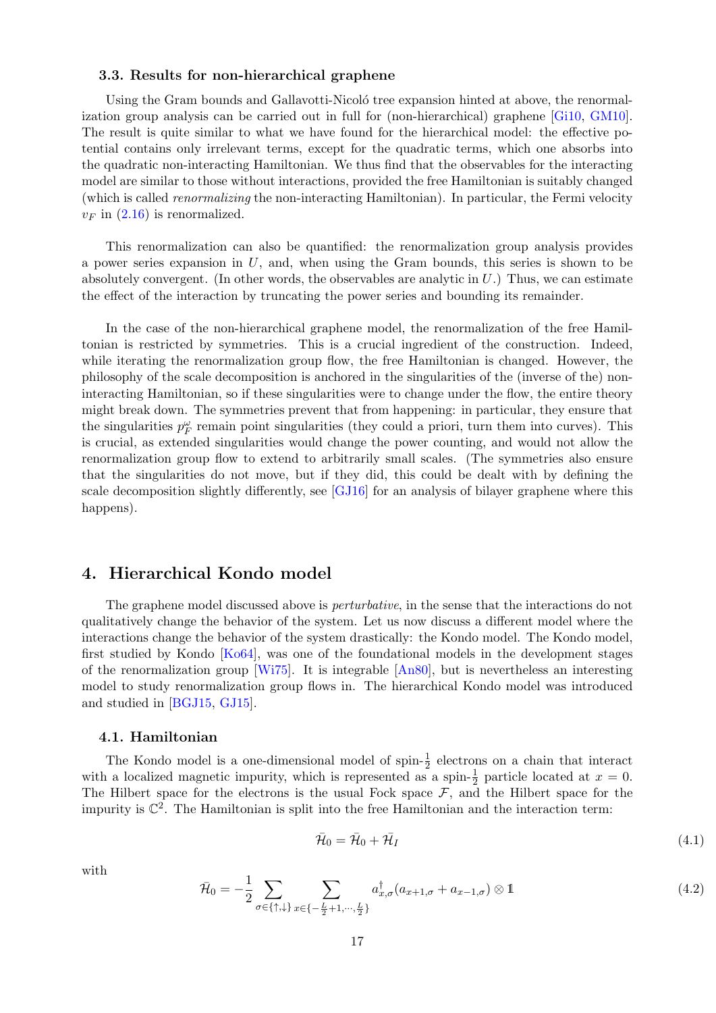### <span id="page-17-0"></span>3.3. Results for non-hierarchical graphene

Using the Gram bounds and Gallavotti-Nicoló tree expansion hinted at above, the renormalization group analysis can be carried out in full for (non-hierarchical) graphene [\[Gi10,](#page-31-4) [GM10\]](#page-32-7). The result is quite similar to what we have found for the hierarchical model: the effective potential contains only irrelevant terms, except for the quadratic terms, which one absorbs into the quadratic non-interacting Hamiltonian. We thus find that the observables for the interacting model are similar to those without interactions, provided the free Hamiltonian is suitably changed (which is called renormalizing the non-interacting Hamiltonian). In particular, the Fermi velocity  $v_F$  in  $(2.16)$  is renormalized.

This renormalization can also be quantified: the renormalization group analysis provides a power series expansion in  $U$ , and, when using the Gram bounds, this series is shown to be absolutely convergent. (In other words, the observables are analytic in  $U$ .) Thus, we can estimate the effect of the interaction by truncating the power series and bounding its remainder.

In the case of the non-hierarchical graphene model, the renormalization of the free Hamiltonian is restricted by symmetries. This is a crucial ingredient of the construction. Indeed, while iterating the renormalization group flow, the free Hamiltonian is changed. However, the philosophy of the scale decomposition is anchored in the singularities of the (inverse of the) noninteracting Hamiltonian, so if these singularities were to change under the flow, the entire theory might break down. The symmetries prevent that from happening: in particular, they ensure that the singularities  $p_F^{\omega}$  remain point singularities (they could a priori, turn them into curves). This is crucial, as extended singularities would change the power counting, and would not allow the renormalization group flow to extend to arbitrarily small scales. (The symmetries also ensure that the singularities do not move, but if they did, this could be dealt with by defining the scale decomposition slightly differently, see [\[GJ16\]](#page-32-10) for an analysis of bilayer graphene where this happens).

# <span id="page-17-1"></span>4. Hierarchical Kondo model

The graphene model discussed above is *perturbative*, in the sense that the interactions do not qualitatively change the behavior of the system. Let us now discuss a different model where the interactions change the behavior of the system drastically: the Kondo model. The Kondo model, first studied by Kondo [\[Ko64\]](#page-32-8), was one of the foundational models in the development stages of the renormalization group [\[Wi75\]](#page-32-9). It is integrable [\[An80\]](#page-31-12), but is nevertheless an interesting model to study renormalization group flows in. The hierarchical Kondo model was introduced and studied in [\[BGJ15,](#page-31-9) [GJ15\]](#page-31-10).

### <span id="page-17-2"></span>4.1. Hamiltonian

The Kondo model is a one-dimensional model of spin- $\frac{1}{2}$  electrons on a chain that interact with a localized magnetic impurity, which is represented as a spin- $\frac{1}{2}$  particle located at  $x = 0$ . The Hilbert space for the electrons is the usual Fock space  $F$ , and the Hilbert space for the impurity is  $\mathbb{C}^2$ . The Hamiltonian is split into the free Hamiltonian and the interaction term:

$$
\bar{\mathcal{H}}_0 = \bar{\mathcal{H}}_0 + \bar{\mathcal{H}}_I \tag{4.1}
$$

with

$$
\bar{\mathcal{H}}_0 = -\frac{1}{2} \sum_{\sigma \in \{\uparrow, \downarrow\}} \sum_{x \in \{-\frac{L}{2} + 1, \cdots, \frac{L}{2}\}} a_{x,\sigma}^\dagger (a_{x+1,\sigma} + a_{x-1,\sigma}) \otimes 1 \tag{4.2}
$$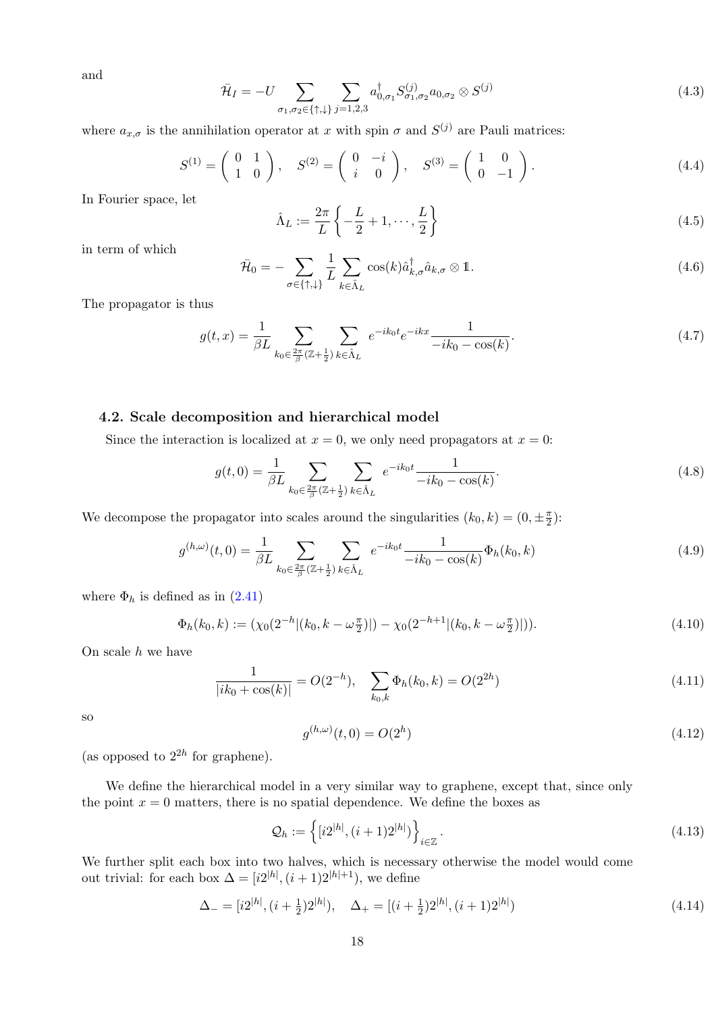and

$$
\bar{\mathcal{H}}_I = -U \sum_{\sigma_1, \sigma_2 \in \{\uparrow, \downarrow\}} \sum_{j=1,2,3} a^{\dagger}_{0,\sigma_1} S^{(j)}_{\sigma_1, \sigma_2} a_{0,\sigma_2} \otimes S^{(j)} \tag{4.3}
$$

where  $a_{x,\sigma}$  is the annihilation operator at x with spin  $\sigma$  and  $S^{(j)}$  are Pauli matrices:

$$
S^{(1)} = \begin{pmatrix} 0 & 1 \\ 1 & 0 \end{pmatrix}, \quad S^{(2)} = \begin{pmatrix} 0 & -i \\ i & 0 \end{pmatrix}, \quad S^{(3)} = \begin{pmatrix} 1 & 0 \\ 0 & -1 \end{pmatrix}.
$$
 (4.4)

In Fourier space, let

$$
\hat{\Lambda}_L := \frac{2\pi}{L} \left\{ -\frac{L}{2} + 1, \cdots, \frac{L}{2} \right\} \tag{4.5}
$$

in term of which

$$
\bar{\mathcal{H}}_0 = -\sum_{\sigma \in \{\uparrow, \downarrow\}} \frac{1}{L} \sum_{k \in \hat{\Lambda}_L} \cos(k) \hat{a}_{k,\sigma}^{\dagger} \hat{a}_{k,\sigma} \otimes \mathbb{1}.
$$
\n(4.6)

The propagator is thus

$$
g(t,x) = \frac{1}{\beta L} \sum_{k_0 \in \frac{2\pi}{\beta} (\mathbb{Z} + \frac{1}{2})} \sum_{k \in \hat{\Lambda}_L} e^{-ik_0 t} e^{-ikx} \frac{1}{-ik_0 - \cos(k)}.
$$
 (4.7)

### <span id="page-18-0"></span>4.2. Scale decomposition and hierarchical model

Since the interaction is localized at  $x = 0$ , we only need propagators at  $x = 0$ :

$$
g(t,0) = \frac{1}{\beta L} \sum_{k_0 \in \frac{2\pi}{\beta} (\mathbb{Z} + \frac{1}{2})} \sum_{k \in \hat{\Lambda}_L} e^{-ik_0 t} \frac{1}{-ik_0 - \cos(k)}.
$$
 (4.8)

We decompose the propagator into scales around the singularities  $(k_0, k) = (0, \pm \frac{\pi}{2})$  $\frac{\pi}{2}$ ):

$$
g^{(h,\omega)}(t,0) = \frac{1}{\beta L} \sum_{k_0 \in \frac{2\pi}{\beta}(\mathbb{Z} + \frac{1}{2})} \sum_{k \in \hat{\Lambda}_L} e^{-ik_0 t} \frac{1}{-ik_0 - \cos(k)} \Phi_h(k_0, k)
$$
(4.9)

where  $\Phi_h$  is defined as in [\(2.41\)](#page-10-2)

$$
\Phi_h(k_0, k) := (\chi_0(2^{-h} | (k_0, k - \omega_{\frac{\pi}{2}}) |) - \chi_0(2^{-h+1} | (k_0, k - \omega_{\frac{\pi}{2}}) |)).
$$
\n(4.10)

On scale  $h$  we have

$$
\frac{1}{|ik_0 + \cos(k)|} = O(2^{-h}), \quad \sum_{k_0, k} \Phi_h(k_0, k) = O(2^{2h})
$$
\n(4.11)

<span id="page-18-1"></span>so

$$
g^{(h,\omega)}(t,0) = O(2^h)
$$
\n(4.12)

(as opposed to  $2^{2h}$  for graphene).

We define the hierarchical model in a very similar way to graphene, except that, since only the point  $x = 0$  matters, there is no spatial dependence. We define the boxes as

$$
\mathcal{Q}_h := \left\{ [i2^{|h|}, (i+1)2^{|h|}) \right\}_{i \in \mathbb{Z}}.
$$
\n(4.13)

We further split each box into two halves, which is necessary otherwise the model would come out trivial: for each box  $\Delta = [i2^{|h|}, (i+1)2^{|h|+1})$ , we define

$$
\Delta_{-} = [i2^{|h|}, (i + \frac{1}{2})2^{|h|}), \quad \Delta_{+} = [(i + \frac{1}{2})2^{|h|}, (i + 1)2^{|h|})
$$
\n(4.14)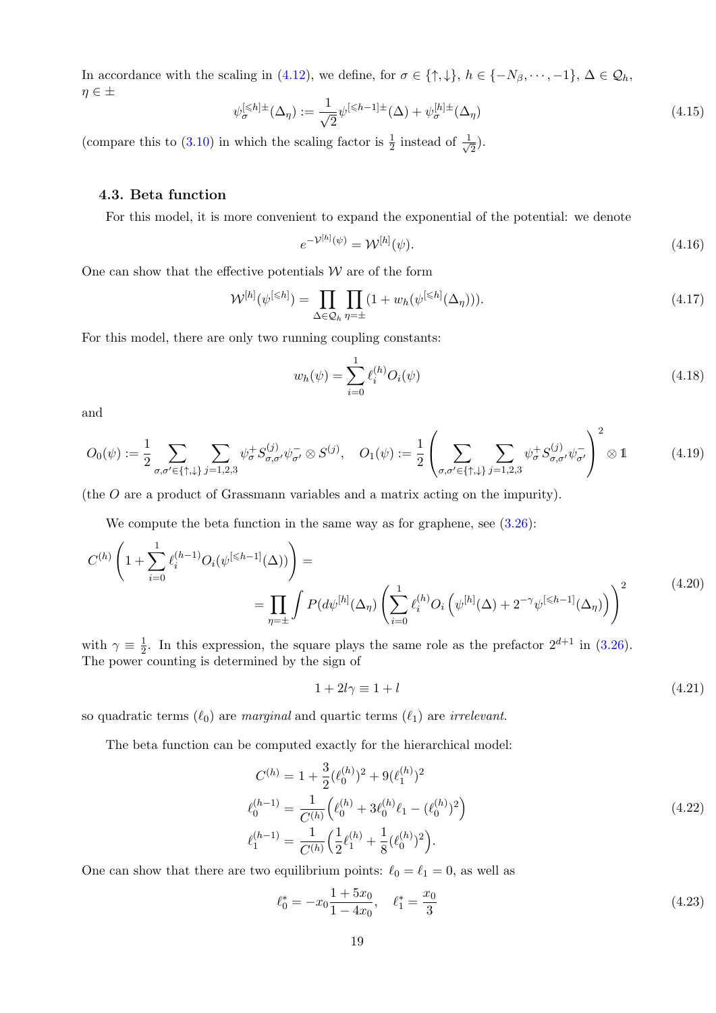In accordance with the scaling in [\(4.12\)](#page-18-1), we define, for  $\sigma \in \{\uparrow, \downarrow\}, h \in \{-N_\beta, \dots, -1\}, \Delta \in \mathcal{Q}_h$ ,  $\eta \in \pm$ 

$$
\psi_{\sigma}^{[\leq h]\pm}(\Delta_{\eta}) := \frac{1}{\sqrt{2}} \psi^{[\leq h-1]\pm}(\Delta) + \psi_{\sigma}^{[h]\pm}(\Delta_{\eta})
$$
\n(4.15)

(compare this to [\(3.10\)](#page-12-3) in which the scaling factor is  $\frac{1}{2}$  instead of  $\frac{1}{\sqrt{2}}$  $\frac{1}{2}).$ 

### <span id="page-19-0"></span>4.3. Beta function

For this model, it is more convenient to expand the exponential of the potential: we denote

$$
e^{-\mathcal{V}^{[h]}(\psi)} = \mathcal{W}^{[h]}(\psi). \tag{4.16}
$$

One can show that the effective potentials  $W$  are of the form

$$
\mathcal{W}^{[h]}(\psi^{[\leq h]}) = \prod_{\Delta \in \mathcal{Q}_h} \prod_{\eta = \pm} (1 + w_h(\psi^{[\leq h]}(\Delta_\eta))). \tag{4.17}
$$

For this model, there are only two running coupling constants:

$$
w_h(\psi) = \sum_{i=0}^{1} \ell_i^{(h)} O_i(\psi)
$$
\n(4.18)

and

$$
O_0(\psi) := \frac{1}{2} \sum_{\sigma, \sigma' \in \{\uparrow, \downarrow\}} \sum_{j=1,2,3} \psi_{\sigma}^+ S_{\sigma, \sigma'}^{(j)} \psi_{\sigma'}^- \otimes S^{(j)}, \quad O_1(\psi) := \frac{1}{2} \left( \sum_{\sigma, \sigma' \in \{\uparrow, \downarrow\}} \sum_{j=1,2,3} \psi_{\sigma}^+ S_{\sigma, \sigma'}^{(j)} \psi_{\sigma'}^- \right)^2 \otimes 1 \tag{4.19}
$$

(the O are a product of Grassmann variables and a matrix acting on the impurity).

We compute the beta function in the same way as for graphene, see  $(3.26)$ :

$$
C^{(h)}\left(1+\sum_{i=0}^{1} \ell_i^{(h-1)} O_i(\psi^{[\leq h-1]}(\Delta))\right) = \prod_{\eta=\pm} \int P(d\psi^{[h]}(\Delta_\eta) \left(\sum_{i=0}^{1} \ell_i^{(h)} O_i\left(\psi^{[h]}(\Delta) + 2^{-\gamma}\psi^{[\leq h-1]}(\Delta_\eta)\right)\right)^2 \tag{4.20}
$$

with  $\gamma \equiv \frac{1}{2}$  $\frac{1}{2}$ . In this expression, the square plays the same role as the prefactor  $2^{d+1}$  in [\(3.26\)](#page-14-0). The power counting is determined by the sign of

$$
1 + 2l\gamma \equiv 1 + l \tag{4.21}
$$

so quadratic terms  $(\ell_0)$  are marginal and quartic terms  $(\ell_1)$  are irrelevant.

The beta function can be computed exactly for the hierarchical model:

$$
C^{(h)} = 1 + \frac{3}{2} (\ell_0^{(h)})^2 + 9(\ell_1^{(h)})^2
$$
  
\n
$$
\ell_0^{(h-1)} = \frac{1}{C^{(h)}} \left( \ell_0^{(h)} + 3\ell_0^{(h)} \ell_1 - (\ell_0^{(h)})^2 \right)
$$
  
\n
$$
\ell_1^{(h-1)} = \frac{1}{C^{(h)}} \left( \frac{1}{2} \ell_1^{(h)} + \frac{1}{8} (\ell_0^{(h)})^2 \right).
$$
\n(4.22)

One can show that there are two equilibrium points:  $\ell_0 = \ell_1 = 0$ , as well as

$$
\ell_0^* = -x_0 \frac{1+5x_0}{1-4x_0}, \quad \ell_1^* = \frac{x_0}{3} \tag{4.23}
$$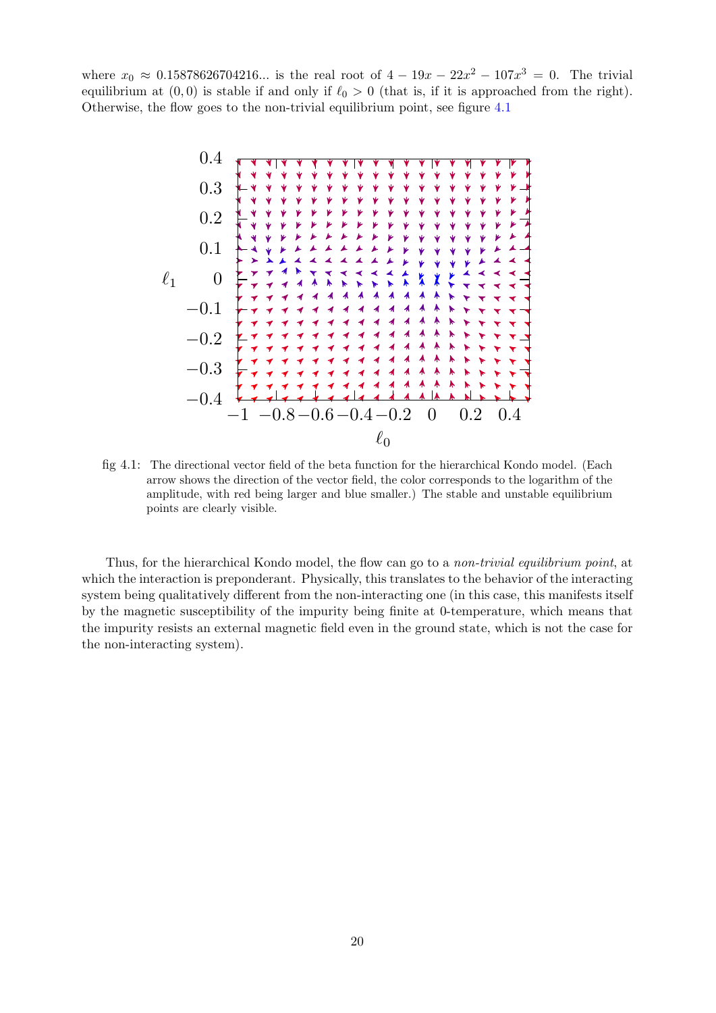where  $x_0 \approx 0.15878626704216...$  is the real root of  $4 - 19x - 22x^2 - 107x^3 = 0$ . The trivial equilibrium at  $(0, 0)$  is stable if and only if  $\ell_0 > 0$  (that is, if it is approached from the right). Otherwise, the flow goes to the non-trivial equilibrium point, see figure [4.1](#page-20-0)



<span id="page-20-0"></span>fig 4.1: The directional vector field of the beta function for the hierarchical Kondo model. (Each arrow shows the direction of the vector field, the color corresponds to the logarithm of the amplitude, with red being larger and blue smaller.) The stable and unstable equilibrium points are clearly visible.

Thus, for the hierarchical Kondo model, the flow can go to a non-trivial equilibrium point, at which the interaction is preponderant. Physically, this translates to the behavior of the interacting system being qualitatively different from the non-interacting one (in this case, this manifests itself by the magnetic susceptibility of the impurity being finite at 0-temperature, which means that the impurity resists an external magnetic field even in the ground state, which is not the case for the non-interacting system).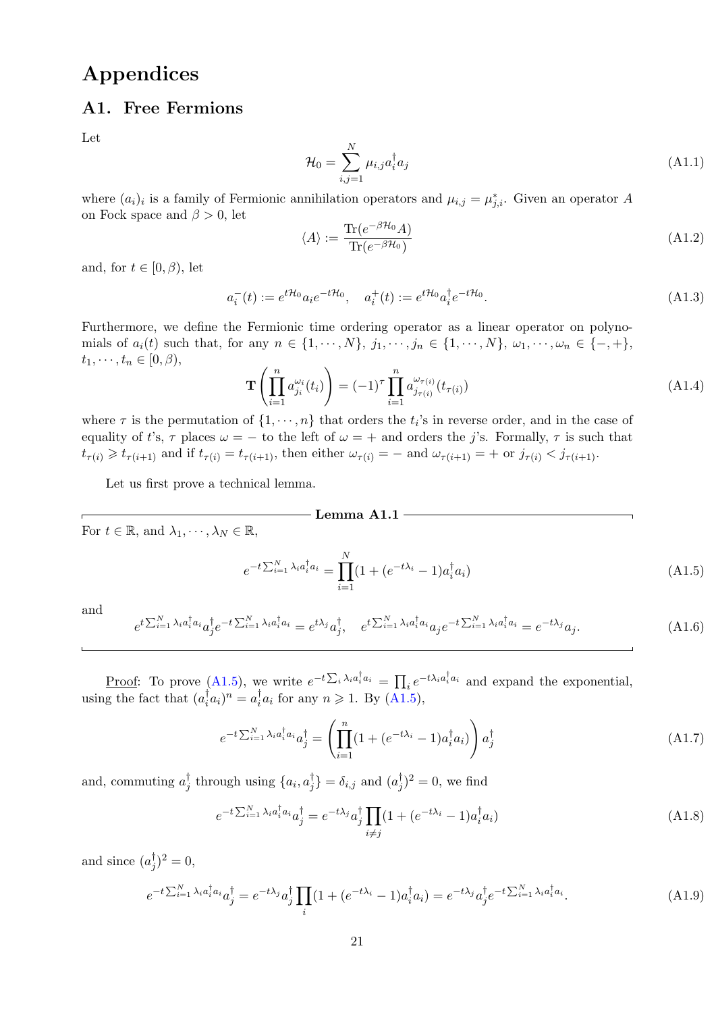# Appendices

### <span id="page-21-0"></span>A1. Free Fermions

Let

$$
\mathcal{H}_0 = \sum_{i,j=1}^N \mu_{i,j} a_i^\dagger a_j \tag{A1.1}
$$

where  $(a_i)_i$  is a family of Fermionic annihilation operators and  $\mu_{i,j} = \mu_{j,i}^*$ . Given an operator A on Fock space and  $\beta > 0$ , let

$$
\langle A \rangle := \frac{\text{Tr}(e^{-\beta \mathcal{H}_0} A)}{\text{Tr}(e^{-\beta \mathcal{H}_0})}
$$
(A1.2)

and, for  $t \in [0, \beta)$ , let

$$
a_i^-(t) := e^{t\mathcal{H}_0} a_i e^{-t\mathcal{H}_0}, \quad a_i^+(t) := e^{t\mathcal{H}_0} a_i^{\dagger} e^{-t\mathcal{H}_0}.
$$
 (A1.3)

Furthermore, we define the Fermionic time ordering operator as a linear operator on polynomials of  $a_i(t)$  such that, for any  $n \in \{1, \dots, N\}$ ,  $j_1, \dots, j_n \in \{1, \dots, N\}$ ,  $\omega_1, \dots, \omega_n \in \{-, +\}$ ,  $t_1, \cdots, t_n \in [0, \beta),$ 

$$
\mathbf{T}\left(\prod_{i=1}^{n} a_{j_i}^{\omega_i}(t_i)\right) = (-1)^{\tau} \prod_{i=1}^{n} a_{j_{\tau(i)}}^{\omega_{\tau(i)}}(t_{\tau(i)})
$$
\n(A1.4)

where  $\tau$  is the permutation of  $\{1, \dots, n\}$  that orders the  $t_i$ 's in reverse order, and in the case of equality of t's,  $\tau$  places  $\omega = -$  to the left of  $\omega = +$  and orders the j's. Formally,  $\tau$  is such that  $t_{\tau(i)} \geqslant t_{\tau(i+1)}$  and if  $t_{\tau(i)} = t_{\tau(i+1)}$ , then either  $\omega_{\tau(i)} = -$  and  $\omega_{\tau(i+1)} = +$  or  $j_{\tau(i)} < j_{\tau(i+1)}$ .

Let us first prove a technical lemma.

$$
\bf Lemma \ A1.1
$$

For  $t \in \mathbb{R}$ , and  $\lambda_1, \dots, \lambda_N \in \mathbb{R}$ ,

<span id="page-21-1"></span>
$$
e^{-t\sum_{i=1}^{N}\lambda_i a_i^{\dagger} a_i} = \prod_{i=1}^{N} (1 + (e^{-t\lambda_i} - 1)a_i^{\dagger} a_i)
$$
\n(A1.5)

and

<span id="page-21-3"></span>
$$
e^{t\sum_{i=1}^{N}\lambda_{i}a_{i}^{\dagger}a_{i}}a_{j}^{\dagger}e^{-t\sum_{i=1}^{N}\lambda_{i}a_{i}^{\dagger}a_{i}} = e^{t\lambda_{j}}a_{j}^{\dagger}, \quad e^{t\sum_{i=1}^{N}\lambda_{i}a_{i}^{\dagger}a_{i}}a_{j}e^{-t\sum_{i=1}^{N}\lambda_{i}a_{i}^{\dagger}a_{i}} = e^{-t\lambda_{j}}a_{j}.
$$
\n(A1.6)

<u>Proof</u>: To prove [\(A1.5\)](#page-21-1), we write  $e^{-t\sum_i \lambda_i a_i^{\dagger} a_i} = \prod_i e^{-t\lambda_i a_i^{\dagger} a_i}$  and expand the exponential, using the fact that  $(a_i^{\dagger})$  $(a_i)^n = a_i^{\dagger}$  $i \atop i} a_i$  for any  $n \geqslant 1$ . By  $(A1.5)$ ,

$$
e^{-t\sum_{i=1}^{N}\lambda_i a_i^{\dagger} a_i} a_j^{\dagger} = \left(\prod_{i=1}^{n} (1 + (e^{-t\lambda_i} - 1) a_i^{\dagger} a_i)\right) a_j^{\dagger}
$$
\n(A1.7)

and, commuting  $a_i^{\dagger}$  $j$  through using  $\{a_i, a_j^{\dagger}$  $\begin{pmatrix} \dagger \\ j \end{pmatrix} = \delta_{i,j}$  and  $(a_j^{\dagger})$  $(j^{\dagger})^2 = 0$ , we find

$$
e^{-t\sum_{i=1}^{N}\lambda_i a_i^{\dagger} a_i} a_j^{\dagger} = e^{-t\lambda_j} a_j^{\dagger} \prod_{i \neq j} (1 + (e^{-t\lambda_i} - 1) a_i^{\dagger} a_i)
$$
\n(A1.8)

and since  $(a_i^{\dagger})$  $j^{1}_{j})^{2}=0,$ 

<span id="page-21-2"></span>
$$
e^{-t\sum_{i=1}^{N}\lambda_i a_i^{\dagger} a_i} a_j^{\dagger} = e^{-t\lambda_j} a_j^{\dagger} \prod_i (1 + (e^{-t\lambda_i} - 1) a_i^{\dagger} a_i) = e^{-t\lambda_j} a_j^{\dagger} e^{-t\sum_{i=1}^{N}\lambda_i a_i^{\dagger} a_i}.
$$
 (A1.9)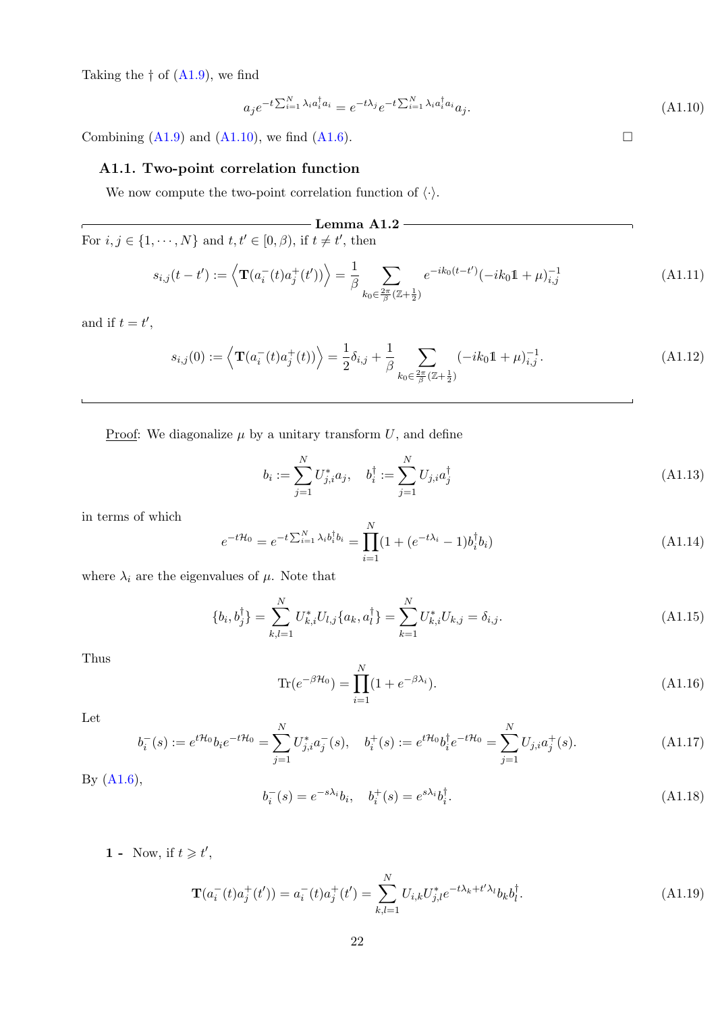Taking the  $\dagger$  of  $(A1.9)$ , we find

<span id="page-22-1"></span>
$$
a_j e^{-t \sum_{i=1}^N \lambda_i a_i^\dagger a_i} = e^{-t \lambda_j} e^{-t \sum_{i=1}^N \lambda_i a_i^\dagger a_i} a_j.
$$
\n(A1.10)

Combining  $(A1.9)$  and  $(A1.10)$ , we find  $(A1.6)$ .  $\square$ 

### <span id="page-22-0"></span>A1.1. Two-point correlation function

We now compute the two-point correlation function of  $\langle \cdot \rangle$ .

 $-$  Lemma A1.2  $$ r For  $i, j \in \{1, \dots, N\}$  and  $t, t' \in [0, \beta)$ , if  $t \neq t'$ , then

$$
s_{i,j}(t-t') := \left\langle \mathbf{T}(a_i^-(t)a_j^+(t')) \right\rangle = \frac{1}{\beta} \sum_{k_0 \in \frac{2\pi}{\beta}(\mathbb{Z}+\frac{1}{2})} e^{-ik_0(t-t')}(-ik_0\mathbb{1}+\mu)_{i,j}^{-1}
$$
(A1.11)

and if  $t = t'$ ,

$$
s_{i,j}(0) := \left\langle \mathbf{T}(a_i^-(t)a_j^+(t)) \right\rangle = \frac{1}{2}\delta_{i,j} + \frac{1}{\beta} \sum_{k_0 \in \frac{2\pi}{\beta}(\mathbb{Z} + \frac{1}{2})} (-ik_0 \mathbb{1} + \mu)_{i,j}^{-1}.
$$
 (A1.12)

Proof: We diagonalize  $\mu$  by a unitary transform U, and define

$$
b_i := \sum_{j=1}^{N} U_{j,i}^* a_j, \quad b_i^{\dagger} := \sum_{j=1}^{N} U_{j,i} a_j^{\dagger}
$$
 (A1.13)

in terms of which

$$
e^{-t\mathcal{H}_0} = e^{-t\sum_{i=1}^N \lambda_i b_i^\dagger b_i} = \prod_{i=1}^N (1 + (e^{-t\lambda_i} - 1)b_i^\dagger b_i)
$$
\n(A1.14)

where  $\lambda_i$  are the eigenvalues of  $\mu$ . Note that

$$
\{b_i, b_j^{\dagger}\} = \sum_{k,l=1}^{N} U_{k,i}^* U_{l,j} \{a_k, a_l^{\dagger}\} = \sum_{k=1}^{N} U_{k,i}^* U_{k,j} = \delta_{i,j}.
$$
\n(A1.15)

Thus

$$
\text{Tr}(e^{-\beta \mathcal{H}_0}) = \prod_{i=1}^{N} (1 + e^{-\beta \lambda_i}).
$$
\n(A1.16)

Let

$$
b_i^-(s) := e^{t\mathcal{H}_0} b_i e^{-t\mathcal{H}_0} = \sum_{j=1}^N U_{j,i}^* a_j^-(s), \quad b_i^+(s) := e^{t\mathcal{H}_0} b_i^{\dagger} e^{-t\mathcal{H}_0} = \sum_{j=1}^N U_{j,i} a_j^+(s).
$$
 (A1.17)

By 
$$
(A1.6)
$$
,

$$
b_i^-(s) = e^{-s\lambda_i}b_i, \quad b_i^+(s) = e^{s\lambda_i}b_i^\dagger. \tag{A1.18}
$$

1 - Now, if  $t \geq t'$ ,

$$
\mathbf{T}(a_i^-(t)a_j^+(t')) = a_i^-(t)a_j^+(t') = \sum_{k,l=1}^N U_{i,k} U_{j,l}^* e^{-t\lambda_k + t'\lambda_l} b_k b_l^{\dagger}.
$$
 (A1.19)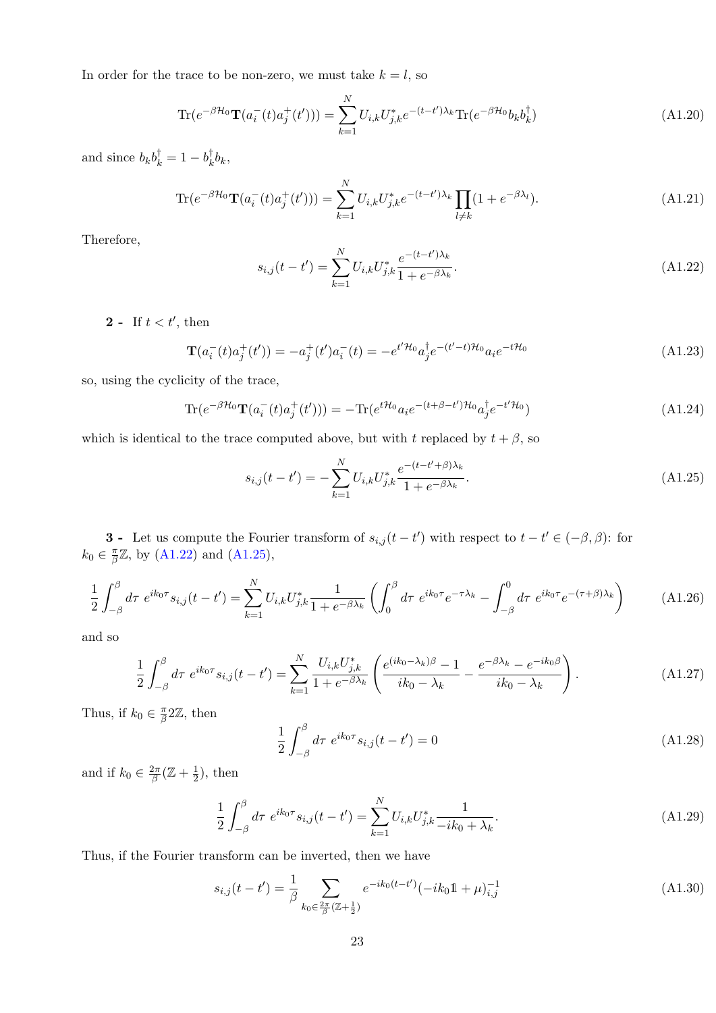In order for the trace to be non-zero, we must take  $k = l$ , so

$$
\text{Tr}(e^{-\beta \mathcal{H}_0} \mathbf{T}(a_i^-(t)a_j^+(t'))) = \sum_{k=1}^N U_{i,k} U_{j,k}^* e^{-(t-t')\lambda_k} \text{Tr}(e^{-\beta \mathcal{H}_0} b_k b_k^\dagger)
$$
(A1.20)

and since  $b_k b_k^{\dagger} = 1 - b_k^{\dagger}$  $k^{\dagger}b_k,$ 

$$
\text{Tr}(e^{-\beta \mathcal{H}_0} \mathbf{T}(a_i^-(t)a_j^+(t'))) = \sum_{k=1}^N U_{i,k} U_{j,k}^* e^{-(t-t')\lambda_k} \prod_{l \neq k} (1 + e^{-\beta \lambda_l}). \tag{A1.21}
$$

<span id="page-23-0"></span>Therefore,

$$
s_{i,j}(t-t') = \sum_{k=1}^{N} U_{i,k} U_{j,k}^* \frac{e^{-(t-t')\lambda_k}}{1 + e^{-\beta \lambda_k}}.
$$
\n(A1.22)

2 - If  $t < t'$ , then

$$
\mathbf{T}(a_i^-(t)a_j^+(t')) = -a_j^+(t')a_i^-(t) = -e^{t'\mathcal{H}_0}a_j^{\dagger}e^{-(t'-t)\mathcal{H}_0}a_i e^{-t\mathcal{H}_0}
$$
\n(A1.23)

so, using the cyclicity of the trace,

$$
\text{Tr}(e^{-\beta \mathcal{H}_0} \mathbf{T}(a_i^-(t)a_j^+(t'))) = -\text{Tr}(e^{t\mathcal{H}_0} a_i e^{-(t+\beta-t')\mathcal{H}_0} a_j^{\dagger} e^{-t'\mathcal{H}_0})
$$
(A1.24)

which is identical to the trace computed above, but with t replaced by  $t + \beta$ , so

<span id="page-23-1"></span>
$$
s_{i,j}(t-t') = -\sum_{k=1}^{N} U_{i,k} U_{j,k}^* \frac{e^{-(t-t'+\beta)\lambda_k}}{1 + e^{-\beta \lambda_k}}.
$$
\n(A1.25)

**3** - Let us compute the Fourier transform of  $s_{i,j}(t-t')$  with respect to  $t-t' \in (-\beta, \beta)$ : for  $k_0 \in \frac{\pi}{\beta}$  $\frac{\pi}{\beta}\mathbb{Z}$ , by [\(A1.22\)](#page-23-0) and [\(A1.25\)](#page-23-1),

$$
\frac{1}{2} \int_{-\beta}^{\beta} d\tau \ e^{ik_0 \tau} s_{i,j}(t-t') = \sum_{k=1}^{N} U_{i,k} U_{j,k}^* \frac{1}{1 + e^{-\beta \lambda_k}} \left( \int_0^{\beta} d\tau \ e^{ik_0 \tau} e^{-\tau \lambda_k} - \int_{-\beta}^0 d\tau \ e^{ik_0 \tau} e^{-(\tau+\beta)\lambda_k} \right) \tag{A1.26}
$$

and so

$$
\frac{1}{2} \int_{-\beta}^{\beta} d\tau \ e^{ik_0 \tau} s_{i,j}(t-t') = \sum_{k=1}^{N} \frac{U_{i,k} U_{j,k}^*}{1 + e^{-\beta \lambda_k}} \left( \frac{e^{(ik_0 - \lambda_k)\beta} - 1}{ik_0 - \lambda_k} - \frac{e^{-\beta \lambda_k} - e^{-ik_0 \beta}}{ik_0 - \lambda_k} \right). \tag{A1.27}
$$

Thus, if  $k_0 \in \frac{\pi}{\beta}$  $\frac{\pi}{\beta}$ 2Z, then

$$
\frac{1}{2} \int_{-\beta}^{\beta} d\tau \ e^{ik_0 \tau} s_{i,j}(t - t') = 0 \tag{A1.28}
$$

and if  $k_0 \in \frac{2\pi}{\beta}$  $\frac{2\pi}{\beta}(\mathbb{Z}+\frac{1}{2}% )^{2\beta}(\mathbb{Z}+\mathbb{Z}^{2})=2\pi i\mathbb{Z}^{2}$  $(\frac{1}{2})$ , then

$$
\frac{1}{2} \int_{-\beta}^{\beta} d\tau \ e^{ik_0 \tau} s_{i,j}(t - t') = \sum_{k=1}^{N} U_{i,k} U_{j,k}^* \frac{1}{-ik_0 + \lambda_k}.
$$
\n(A1.29)

Thus, if the Fourier transform can be inverted, then we have

$$
s_{i,j}(t-t') = \frac{1}{\beta} \sum_{k_0 \in \frac{2\pi}{\beta} (\mathbb{Z} + \frac{1}{2})} e^{-ik_0(t-t')} (-ik_0 \mathbb{1} + \mu)_{i,j}^{-1}
$$
(A1.30)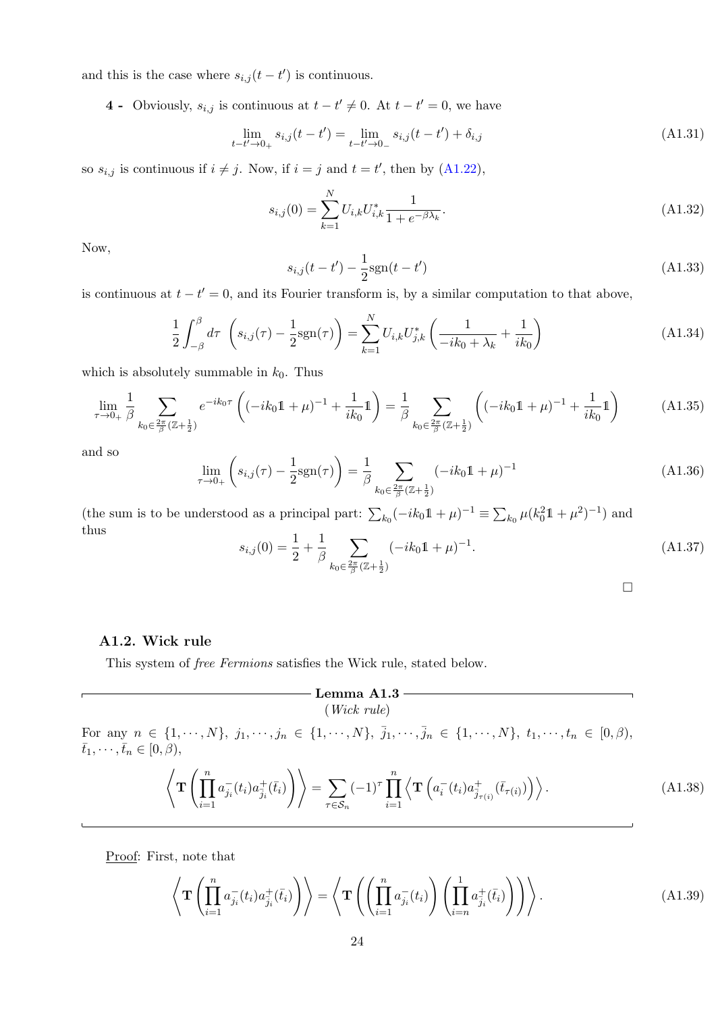and this is the case where  $s_{i,j}(t-t')$  is continuous.

4 - Obviously,  $s_{i,j}$  is continuous at  $t - t' \neq 0$ . At  $t - t' = 0$ , we have

$$
\lim_{t-t'\to 0+} s_{i,j}(t-t') = \lim_{t-t'\to 0-} s_{i,j}(t-t') + \delta_{i,j}
$$
\n(A1.31)

so  $s_{i,j}$  is continuous if  $i \neq j$ . Now, if  $i = j$  and  $t = t'$ , then by [\(A1.22\)](#page-23-0),

$$
s_{i,j}(0) = \sum_{k=1}^{N} U_{i,k} U_{i,k}^* \frac{1}{1 + e^{-\beta \lambda_k}}.
$$
\n(A1.32)

Now,

$$
s_{i,j}(t - t') - \frac{1}{2}\text{sgn}(t - t')\tag{A1.33}
$$

is continuous at  $t - t' = 0$ , and its Fourier transform is, by a similar computation to that above,

$$
\frac{1}{2} \int_{-\beta}^{\beta} d\tau \left( s_{i,j}(\tau) - \frac{1}{2} s g n(\tau) \right) = \sum_{k=1}^{N} U_{i,k} U_{j,k}^* \left( \frac{1}{-ik_0 + \lambda_k} + \frac{1}{ik_0} \right)
$$
(A1.34)

which is absolutely summable in  $k_0$ . Thus

$$
\lim_{\tau \to 0+} \frac{1}{\beta} \sum_{k_0 \in \frac{2\pi}{\beta} (\mathbb{Z} + \frac{1}{2})} e^{-ik_0 \tau} \left( (-ik_0 \mathbb{1} + \mu)^{-1} + \frac{1}{ik_0} \mathbb{1} \right) = \frac{1}{\beta} \sum_{k_0 \in \frac{2\pi}{\beta} (\mathbb{Z} + \frac{1}{2})} \left( (-ik_0 \mathbb{1} + \mu)^{-1} + \frac{1}{ik_0} \mathbb{1} \right) \tag{A1.35}
$$

and so

$$
\lim_{\tau \to 0+} \left( s_{i,j}(\tau) - \frac{1}{2} \text{sgn}(\tau) \right) = \frac{1}{\beta} \sum_{k_0 \in \frac{2\pi}{\beta} (\mathbb{Z} + \frac{1}{2})} (-ik_0 \mathbb{1} + \mu)^{-1}
$$
\n(A1.36)

(the sum is to be understood as a principal part:  $\sum_{k_0} (-ik_0\mathbb{1} + \mu)^{-1} \equiv \sum_{k_0} \mu (k_0^2\mathbb{1} + \mu^2)^{-1}$ ) and thus

$$
s_{i,j}(0) = \frac{1}{2} + \frac{1}{\beta} \sum_{k_0 \in \frac{2\pi}{\beta} (\mathbb{Z} + \frac{1}{2})} (-ik_0 \mathbb{1} + \mu)^{-1}.
$$
 (A1.37)

□

# <span id="page-24-0"></span>A1.2. Wick rule

This system of free Fermions satisfies the Wick rule, stated below.

### $-$  Lemma A1.3  $-$ (Wick rule)

For any  $n \in \{1, \dots, N\}, j_1, \dots, j_n \in \{1, \dots, N\}, \bar{j}_1, \dots, \bar{j}_n \in \{1, \dots, N\}, t_1, \dots, t_n \in [0, \beta),$  $\bar{t}_1, \cdots, \bar{t}_n \in [0, \beta),$ 

<span id="page-24-1"></span>
$$
\left\langle \mathbf{T} \left( \prod_{i=1}^{n} a_{j_i}^{-}(t_i) a_{\overline{j}_i}^{+}(\overline{t}_i) \right) \right\rangle = \sum_{\tau \in S_n} (-1)^{\tau} \prod_{i=1}^{n} \left\langle \mathbf{T} \left( a_i^{-}(t_i) a_{\overline{j}_{\tau(i)}}^{+}(\overline{t}_{\tau(i)}) \right) \right\rangle.
$$
\n(A1.38)

Proof: First, note that

<span id="page-24-2"></span>
$$
\left\langle \mathbf{T} \left( \prod_{i=1}^{n} a_{j_i}^{-}(t_i) a_{\overline{j}_i}^{+}(\overline{t}_i) \right) \right\rangle = \left\langle \mathbf{T} \left( \left( \prod_{i=1}^{n} a_{j_i}^{-}(t_i) \right) \left( \prod_{i=n}^{1} a_{\overline{j}_i}^{+}(\overline{t}_i) \right) \right) \right\rangle. \tag{A1.39}
$$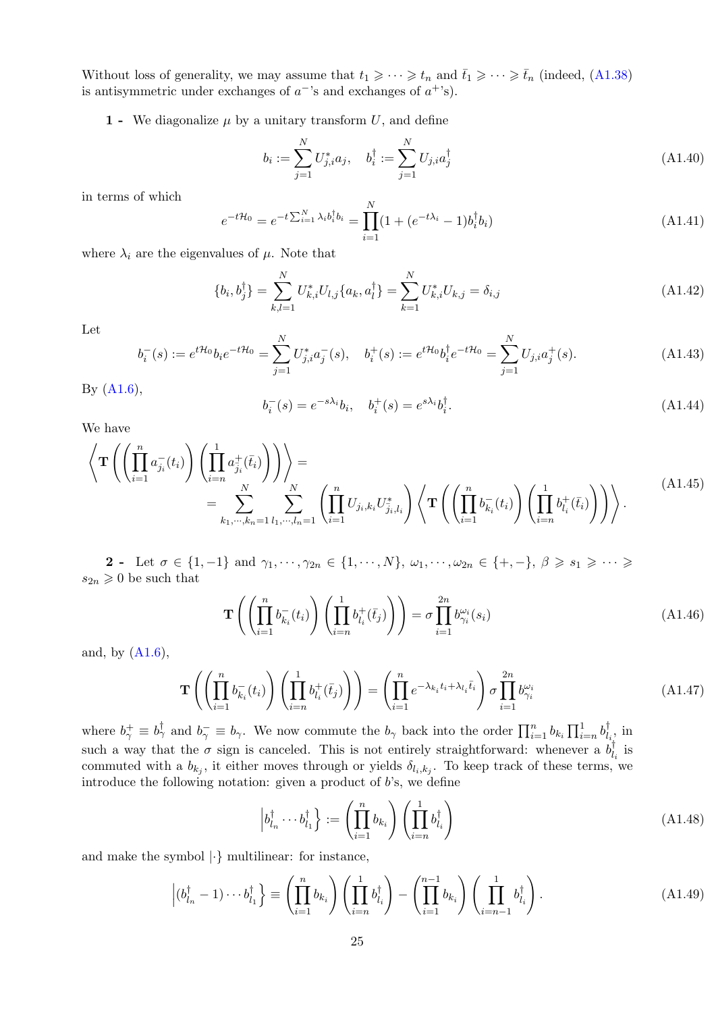Without loss of generality, we may assume that  $t_1 \geqslant \cdots \geqslant t_n$  and  $\bar{t}_1 \geqslant \cdots \geqslant \bar{t}_n$  (indeed, [\(A1.38\)](#page-24-1) is antisymmetric under exchanges of  $a^{-1}$ 's and exchanges of  $a^{+1}$ 's).

1 - We diagonalize  $\mu$  by a unitary transform U, and define

$$
b_i := \sum_{j=1}^{N} U_{j,i}^* a_j, \quad b_i^{\dagger} := \sum_{j=1}^{N} U_{j,i} a_j^{\dagger}
$$
\n(A1.40)

in terms of which

$$
e^{-t\mathcal{H}_0} = e^{-t\sum_{i=1}^N \lambda_i b_i^\dagger b_i} = \prod_{i=1}^N (1 + (e^{-t\lambda_i} - 1)b_i^\dagger b_i)
$$
\n(A1.41)

where  $\lambda_i$  are the eigenvalues of  $\mu$ . Note that

$$
\{b_i, b_j^{\dagger}\} = \sum_{k,l=1}^{N} U_{k,i}^* U_{l,j} \{a_k, a_l^{\dagger}\} = \sum_{k=1}^{N} U_{k,i}^* U_{k,j} = \delta_{i,j}
$$
\n(A1.42)

Let

$$
b_i^-(s) := e^{t\mathcal{H}_0} b_i e^{-t\mathcal{H}_0} = \sum_{j=1}^N U_{j,i}^* a_j^-(s), \quad b_i^+(s) := e^{t\mathcal{H}_0} b_i^{\dagger} e^{-t\mathcal{H}_0} = \sum_{j=1}^N U_{j,i} a_j^+(s).
$$
 (A1.43)

By [\(A1.6\)](#page-21-3),

$$
b_i^-(s) = e^{-s\lambda_i}b_i, \quad b_i^+(s) = e^{s\lambda_i}b_i^{\dagger}.
$$
\n(A1.44)

We have

<span id="page-25-1"></span>
$$
\left\langle \mathbf{T} \left( \left( \prod_{i=1}^{n} a_{j_i}^{-}(t_i) \right) \left( \prod_{i=n}^{1} a_{j_i}^{+}(\bar{t}_i) \right) \right) \right\rangle = \\ = \sum_{k_1, \dots, k_n=1}^{N} \sum_{l_1, \dots, l_n=1}^{N} \left( \prod_{i=1}^{n} U_{j_i, k_i} U_{j_i, l_i}^{*} \right) \left\langle \mathbf{T} \left( \left( \prod_{i=1}^{n} b_{k_i}^{-}(t_i) \right) \left( \prod_{i=n}^{1} b_{l_i}^{+}(\bar{t}_i) \right) \right) \right\rangle. \tag{A1.45}
$$

2 - Let  $\sigma \in \{1, -1\}$  and  $\gamma_1, \dots, \gamma_{2n} \in \{1, \dots, N\}$ ,  $\omega_1, \dots, \omega_{2n} \in \{+, -\}, \ \beta \geq s_1 \geq \dots \geq s_n$  $s_{2n} \geq 0$  be such that

$$
\mathbf{T}\left(\left(\prod_{i=1}^{n} b_{k_i}^-(t_i)\right)\left(\prod_{i=n}^1 b_{l_i}^+(\bar{t}_j)\right)\right) = \sigma \prod_{i=1}^{2n} b_{\gamma_i}^{\omega_i}(s_i)
$$
\n(A1.46)

and, by [\(A1.6\)](#page-21-3),

<span id="page-25-0"></span>
$$
\mathbf{T}\left(\left(\prod_{i=1}^n b_{k_i}^-(t_i)\right)\left(\prod_{i=n}^1 b_{l_i}^+(\bar{t}_j)\right)\right) = \left(\prod_{i=1}^n e^{-\lambda_{k_i}t_i + \lambda_{l_i}\bar{t}_i}\right)\sigma \prod_{i=1}^{2n} b_{\gamma_i}^{\omega_i}
$$
\n(A1.47)

where  $b_{\gamma}^{+} \equiv b_{\gamma}^{\dagger}$  and  $b_{\gamma}^{-} \equiv b_{\gamma}$ . We now commute the  $b_{\gamma}$  back into the order  $\prod_{i=1}^{n} b_{k_i} \prod_{i=n}^{1} b_{\overline{l}}^{\dagger}$  $v_{l_i}^{\dagger}$ , in such a way that the  $\sigma$  sign is canceled. This is not entirely straightforward: whenever a  $b_l^{\dagger}$  $l_i$  is commuted with a  $b_{k_j}$ , it either moves through or yields  $\delta_{l_i,k_j}$ . To keep track of these terms, we introduce the following notation: given a product of  $b$ 's, we define

$$
\left| b_{l_n}^{\dagger} \cdots b_{l_1}^{\dagger} \right\rangle := \left( \prod_{i=1}^n b_{k_i} \right) \left( \prod_{i=n}^1 b_{l_i}^{\dagger} \right) \tag{A1.48}
$$

and make the symbol  $|\cdot\rangle$  multilinear: for instance,

$$
\left|(b_{l_n}^{\dagger}-1)\cdots b_{l_1}^{\dagger}\right| \equiv \left(\prod_{i=1}^n b_{k_i}\right)\left(\prod_{i=n}^1 b_{l_i}^{\dagger}\right) - \left(\prod_{i=1}^{n-1} b_{k_i}\right)\left(\prod_{i=n-1}^1 b_{l_i}^{\dagger}\right). \tag{A1.49}
$$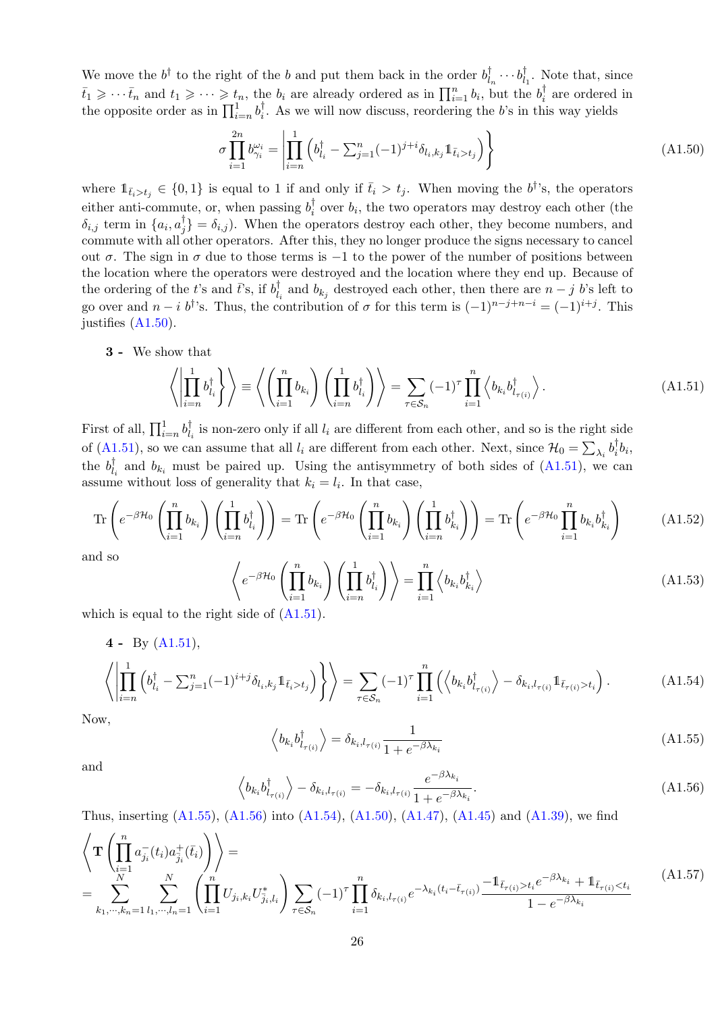We move the  $b^{\dagger}$  to the right of the b and put them back in the order  $b^{\dagger}_l$  $\phi_{l_n}^{\dagger} \cdots \phi_l^{\dagger}$  $l_1$ . Note that, since  $\bar{t}_1 \geqslant \cdots \bar{t}_n$  and  $t_1 \geqslant \cdots \geqslant t_n$ , the  $b_i$  are already ordered as in  $\prod_{i=1}^n b_i$ , but the  $b_i^{\dagger}$  $i_i$  are ordered in the opposite order as in  $\prod_{i=n}^{1} b_i^{\dagger}$  $s_i^{\dagger}$ . As we will now discuss, reordering the b's in this way yields

<span id="page-26-0"></span>
$$
\sigma \prod_{i=1}^{2n} b_{\gamma_i}^{\omega_i} = \left| \prod_{i=n}^{1} \left( b_{l_i}^{\dagger} - \sum_{j=1}^{n} (-1)^{j+i} \delta_{l_i, k_j} \mathbb{1}_{\bar{t}_i > t_j} \right) \right\} \tag{A1.50}
$$

where  $\mathbb{1}_{\bar{t}_i>t_j} \in \{0,1\}$  is equal to 1 if and only if  $\bar{t}_i > t_j$ . When moving the  $b^{\dagger}$ 's, the operators either anti-commute, or, when passing  $b_i^{\dagger}$  $b_i$  over  $b_i$ , the two operators may destroy each other (the  $\delta_{i,j}$  term in  $\{a_i,a^\dagger_j\}$  $j_j^{\dagger}$  =  $\delta_{i,j}$ ). When the operators destroy each other, they become numbers, and commute with all other operators. After this, they no longer produce the signs necessary to cancel out  $\sigma$ . The sign in  $\sigma$  due to those terms is -1 to the power of the number of positions between the location where the operators were destroyed and the location where they end up. Because of the ordering of the t's and  $\bar{t}$ 's, if  $b_l^{\dagger}$  $b_{k_j}$  and  $b_{k_j}$  destroyed each other, then there are  $n - j$  b's left to go over and  $n-i$  b<sup>†</sup>'s. Thus, the contribution of  $\sigma$  for this term is  $(-1)^{n-j+n-i} = (-1)^{i+j}$ . This justifies [\(A1.50\)](#page-26-0).

### 3 - We show that

<span id="page-26-1"></span>
$$
\left\langle \left| \prod_{i=n}^{1} b_{l_i}^{\dagger} \right\rangle \right\rangle \equiv \left\langle \left( \prod_{i=1}^{n} b_{k_i} \right) \left( \prod_{i=n}^{1} b_{l_i}^{\dagger} \right) \right\rangle = \sum_{\tau \in S_n} (-1)^{\tau} \prod_{i=1}^{n} \left\langle b_{k_i} b_{l_{\tau(i)}}^{\dagger} \right\rangle.
$$
 (A1.51)

First of all,  $\prod_{i=n}^{1} b_{l_i}^{\dagger}$  $\mathcal{L}_{l_i}$  is non-zero only if all  $l_i$  are different from each other, and so is the right side of [\(A1.51\)](#page-26-1), so we can assume that all  $l_i$  are different from each other. Next, since  $\mathcal{H}_0 = \sum_{\lambda_i} b_i^{\dagger}$  $b_i$ <sub>i</sub> $b_i$ , the  $b_l^{\dagger}$  $\mathcal{L}_{l_i}$  and  $\mathcal{b}_{k_i}$  must be paired up. Using the antisymmetry of both sides of  $(A1.51)$ , we can assume without loss of generality that  $k_i = l_i$ . In that case,

$$
\operatorname{Tr}\left(e^{-\beta \mathcal{H}_0} \left(\prod_{i=1}^n b_{k_i}\right) \left(\prod_{i=n}^1 b_{l_i}^{\dagger}\right)\right) = \operatorname{Tr}\left(e^{-\beta \mathcal{H}_0} \left(\prod_{i=1}^n b_{k_i}\right) \left(\prod_{i=n}^1 b_{k_i}^{\dagger}\right)\right) = \operatorname{Tr}\left(e^{-\beta \mathcal{H}_0} \prod_{i=1}^n b_{k_i} b_{k_i}^{\dagger}\right) \tag{A1.52}
$$

and so

<span id="page-26-4"></span>
$$
\left\langle e^{-\beta \mathcal{H}_0} \left( \prod_{i=1}^n b_{k_i} \right) \left( \prod_{i=n}^1 b_{l_i}^\dagger \right) \right\rangle = \prod_{i=1}^n \left\langle b_{k_i} b_{k_i}^\dagger \right\rangle \tag{A1.53}
$$

which is equal to the right side of  $(A1.51)$ .

$$
\left\langle \left| \prod_{i=n}^{1} \left( b_{l_i}^{\dagger} - \sum_{j=1}^{n} (-1)^{i+j} \delta_{l_i, k_j} \mathbb{1}_{\bar{t}_i > t_j} \right) \right\} \right\rangle = \sum_{\tau \in S_n} (-1)^{\tau} \prod_{i=1}^{n} \left( \left\langle b_{k_i} b_{l_{\tau(i)}}^{\dagger} \right\rangle - \delta_{k_i, l_{\tau(i)}} \mathbb{1}_{\bar{t}_{\tau(i)} > t_i} \right). \tag{A1.54}
$$

<span id="page-26-2"></span>Now,

$$
\left\langle b_{k_i} b_{l_{\tau(i)}}^{\dagger} \right\rangle = \delta_{k_i, l_{\tau(i)}} \frac{1}{1 + e^{-\beta \lambda_{k_i}}} \tag{A1.55}
$$

<span id="page-26-3"></span>and

$$
\left\langle b_{k_i} b_{l_{\tau(i)}}^{\dagger} \right\rangle - \delta_{k_i, l_{\tau(i)}} = -\delta_{k_i, l_{\tau(i)}} \frac{e^{-\beta \lambda_{k_i}}}{1 + e^{-\beta \lambda_{k_i}}}.
$$
\n(A1.56)

Thus, inserting [\(A1.55\)](#page-26-2), [\(A1.56\)](#page-26-3) into [\(A1.54\)](#page-26-4), [\(A1.50\)](#page-26-0), [\(A1.47\)](#page-25-0), [\(A1.45\)](#page-25-1) and [\(A1.39\)](#page-24-2), we find

$$
\left\langle \mathbf{T} \left( \prod_{i=1}^{n} a_{j_i}^{-}(t_i) a_{\overline{j}_i}^{+}(\overline{t}_i) \right) \right\rangle = \n\sum_{k_1, \dots, k_n = 1}^{N} \sum_{l_1, \dots, l_n = 1}^{N} \left( \prod_{i=1}^{n} U_{j_i, k_i} U_{\overline{j}_i, l_i}^{*} \right) \sum_{\tau \in S_n} (-1)^{\tau} \prod_{i=1}^{n} \delta_{k_i, l_{\tau(i)}} e^{-\lambda_{k_i} (t_i - \overline{t}_{\tau(i)})} \frac{-\mathbb{1}_{\overline{t}_{\tau(i)} > t_i} e^{-\beta \lambda_{k_i}} + \mathbb{1}_{\overline{t}_{\tau(i)} < t_i}}{1 - e^{-\beta \lambda_{k_i}}} \tag{A1.57}
$$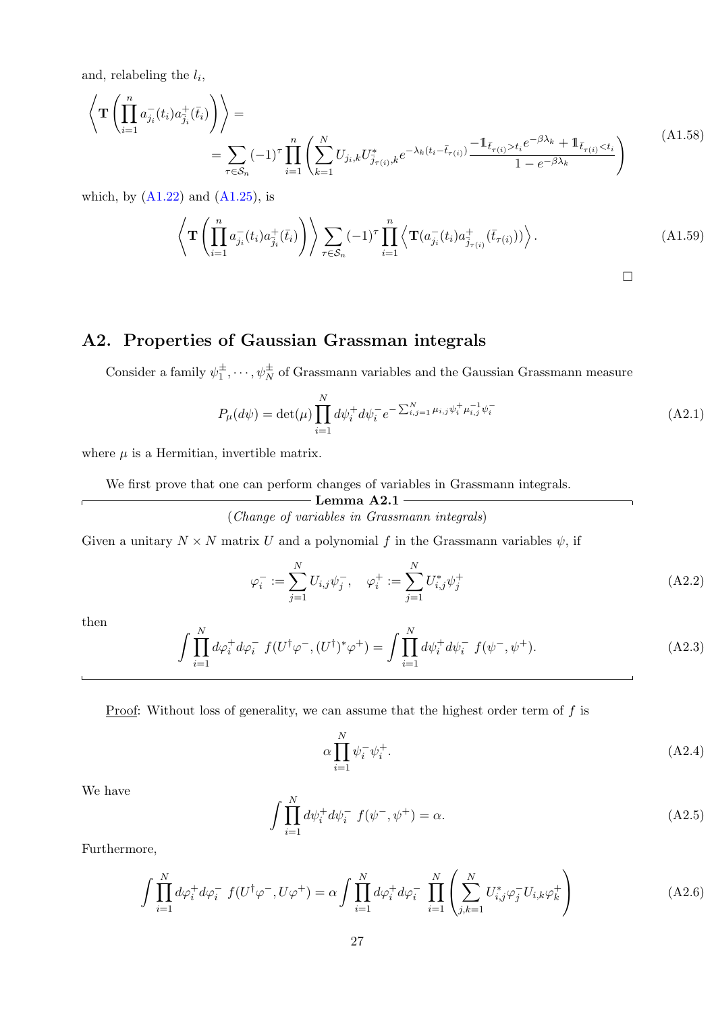and, relabeling the  $l_i$ ,

$$
\left\langle \mathbf{T} \left( \prod_{i=1}^{n} a_{j_i}^{-}(t_i) a_{\bar{j}_i}^{+}(\bar{t}_i) \right) \right\rangle = \n\sum_{\tau \in S_n} (-1)^{\tau} \prod_{i=1}^{n} \left( \sum_{k=1}^{N} U_{j_i,k} U_{\bar{j}_{\tau(i)},k}^{*} e^{-\lambda_k (t_i - \bar{t}_{\tau(i)})} \frac{-1 \bar{t}_{\tau(i)} > t_i e^{-\beta \lambda_k} + 1 \bar{t}_{\tau(i)} < t_i}{1 - e^{-\beta \lambda_k}} \right)
$$
\n(A1.58)

which, by  $(A1.22)$  and  $(A1.25)$ , is

$$
\left\langle \mathbf{T} \left( \prod_{i=1}^{n} a_{j_i}^{-}(t_i) a_{\overline{j}_i}^{+}(\overline{t}_i) \right) \right\rangle \sum_{\tau \in \mathcal{S}_n} (-1)^{\tau} \prod_{i=1}^{n} \left\langle \mathbf{T} (a_{j_i}^{-}(t_i) a_{\overline{j}_{\tau(i)}}^{+}(\overline{t}_{\tau(i)})) \right\rangle.
$$
\n(A1.59)

# <span id="page-27-0"></span>A2. Properties of Gaussian Grassman integrals

Consider a family  $\psi_1^{\pm}, \dots, \psi_N^{\pm}$  of Grassmann variables and the Gaussian Grassmann measure

$$
P_{\mu}(d\psi) = \det(\mu) \prod_{i=1}^{N} d\psi_i^+ d\psi_i^- e^{-\sum_{i,j=1}^{N} \mu_{i,j} \psi_i^+ \mu_{i,j}^{-1} \psi_i^-}
$$
(A2.1)

where  $\mu$  is a Hermitian, invertible matrix.

We first prove that one can perform changes of variables in Grassmann integrals.

### <span id="page-27-1"></span> $\rule{1em}{0.15mm}$  Lemma A2.1 -

(Change of variables in Grassmann integrals)

Given a unitary  $N \times N$  matrix U and a polynomial f in the Grassmann variables  $\psi$ , if

$$
\varphi_i^- := \sum_{j=1}^N U_{i,j} \psi_j^-, \quad \varphi_i^+ := \sum_{j=1}^N U_{i,j}^* \psi_j^+ \tag{A2.2}
$$

then

$$
\int \prod_{i=1}^{N} d\varphi_i^+ d\varphi_i^- f(U^\dagger \varphi^-, (U^\dagger)^* \varphi^+) = \int \prod_{i=1}^{N} d\psi_i^+ d\psi_i^- f(\psi^-, \psi^+). \tag{A2.3}
$$

<u>Proof</u>: Without loss of generality, we can assume that the highest order term of  $f$  is

$$
\alpha \prod_{i=1}^{N} \psi_i^- \psi_i^+.
$$
\n(A2.4)

We have

$$
\int \prod_{i=1}^{N} d\psi_i^+ d\psi_i^- f(\psi^-, \psi^+) = \alpha.
$$
\n(A2.5)

Furthermore,

$$
\int \prod_{i=1}^{N} d\varphi_i^+ d\varphi_i^- f(U^\dagger \varphi^-, U \varphi^+) = \alpha \int \prod_{i=1}^{N} d\varphi_i^+ d\varphi_i^- \prod_{i=1}^{N} \left( \sum_{j,k=1}^{N} U_{i,j}^* \varphi_j^- U_{i,k} \varphi_k^+ \right)
$$
(A2.6)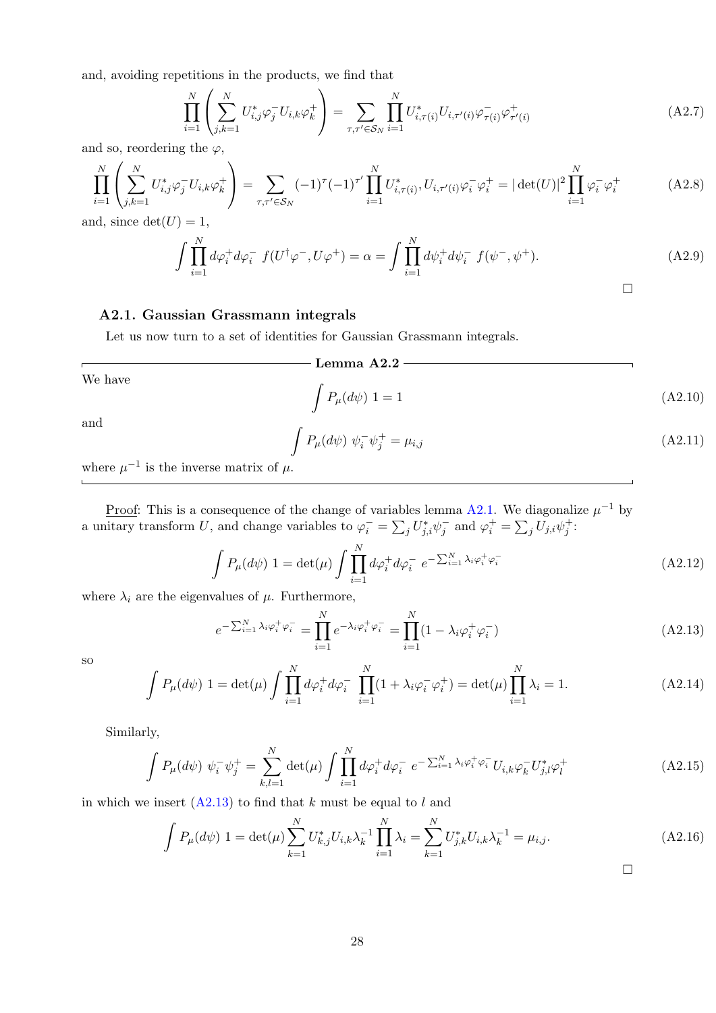and, avoiding repetitions in the products, we find that

$$
\prod_{i=1}^{N} \left( \sum_{j,k=1}^{N} U_{i,j}^* \varphi_j^{-} U_{i,k} \varphi_k^{+} \right) = \sum_{\tau,\tau' \in \mathcal{S}_N} \prod_{i=1}^{N} U_{i,\tau(i)}^* U_{i,\tau'(i)} \varphi_{\tau(i)}^{-} \varphi_{\tau'(i)}^{+}
$$
\n(A2.7)

and so, reordering the  $\varphi$ ,

$$
\prod_{i=1}^{N} \left( \sum_{j,k=1}^{N} U_{i,j}^* \varphi_j^{-} U_{i,k} \varphi_k^{+} \right) = \sum_{\tau,\tau' \in \mathcal{S}_N} (-1)^{\tau} (-1)^{\tau'} \prod_{i=1}^{N} U_{i,\tau(i)}^* U_{i,\tau'(i)} \varphi_i^{-} \varphi_i^{+} = |\det(U)|^2 \prod_{i=1}^{N} \varphi_i^{-} \varphi_i^{+}
$$
\n(A2.8)

and, since  $\det(U) = 1$ ,

$$
\int \prod_{i=1}^{N} d\varphi_i^+ d\varphi_i^- f(U^{\dagger} \varphi^-, U \varphi^+) = \alpha = \int \prod_{i=1}^{N} d\psi_i^+ d\psi_i^- f(\psi^-, \psi^+).
$$
 (A2.9)

### <span id="page-28-0"></span>A2.1. Gaussian Grassmann integrals

Let us now turn to a set of identities for Gaussian Grassmann integrals.

### $-$  Lemma A2.2  $-$

We have

$$
\int P_{\mu}(d\psi) \ 1 = 1 \tag{A2.10}
$$

and

$$
\int P_{\mu}(d\psi) \ \psi_i^- \psi_j^+ = \mu_{i,j} \tag{A2.11}
$$

where  $\mu^{-1}$  is the inverse matrix of  $\mu$ .

<u>Proof</u>: This is a consequence of the change of variables lemma [A2.1.](#page-27-1) We diagonalize  $\mu^{-1}$  by a unitary transform U, and change variables to  $\varphi_i^- = \sum_j U_{j,i}^* \psi_j^-$  and  $\varphi_i^+ = \sum_j U_{j,i} \psi_j^+$ :

$$
\int P_{\mu}(d\psi) \ 1 = \det(\mu) \int \prod_{i=1}^{N} d\varphi_i^+ d\varphi_i^- e^{-\sum_{i=1}^{N} \lambda_i \varphi_i^+ \varphi_i^-}
$$
\n(A2.12)

where  $\lambda_i$  are the eigenvalues of  $\mu$ . Furthermore,

<span id="page-28-1"></span>
$$
e^{-\sum_{i=1}^{N} \lambda_i \varphi_i^+ \varphi_i^-} = \prod_{i=1}^{N} e^{-\lambda_i \varphi_i^+ \varphi_i^-} = \prod_{i=1}^{N} (1 - \lambda_i \varphi_i^+ \varphi_i^-)
$$
(A2.13)

so

$$
\int P_{\mu}(d\psi) \ 1 = \det(\mu) \int \prod_{i=1}^{N} d\varphi_i^+ d\varphi_i^- \ \prod_{i=1}^{N} (1 + \lambda_i \varphi_i^- \varphi_i^+) = \det(\mu) \prod_{i=1}^{N} \lambda_i = 1. \tag{A2.14}
$$

Similarly,

$$
\int P_{\mu}(d\psi) \ \psi_{i}^{-} \psi_{j}^{+} = \sum_{k,l=1}^{N} \det(\mu) \int \prod_{i=1}^{N} d\varphi_{i}^{+} d\varphi_{i}^{-} \ e^{-\sum_{i=1}^{N} \lambda_{i} \varphi_{i}^{+} \varphi_{i}^{-}} U_{i,k} \varphi_{k}^{-} U_{j,l}^{*} \varphi_{l}^{+}
$$
\n(A2.15)

in which we insert  $(A2.13)$  to find that k must be equal to l and

$$
\int P_{\mu}(d\psi) \ 1 = \det(\mu) \sum_{k=1}^{N} U_{k,j}^{*} U_{i,k} \lambda_{k}^{-1} \prod_{i=1}^{N} \lambda_{i} = \sum_{k=1}^{N} U_{j,k}^{*} U_{i,k} \lambda_{k}^{-1} = \mu_{i,j}.
$$
\n(A2.16)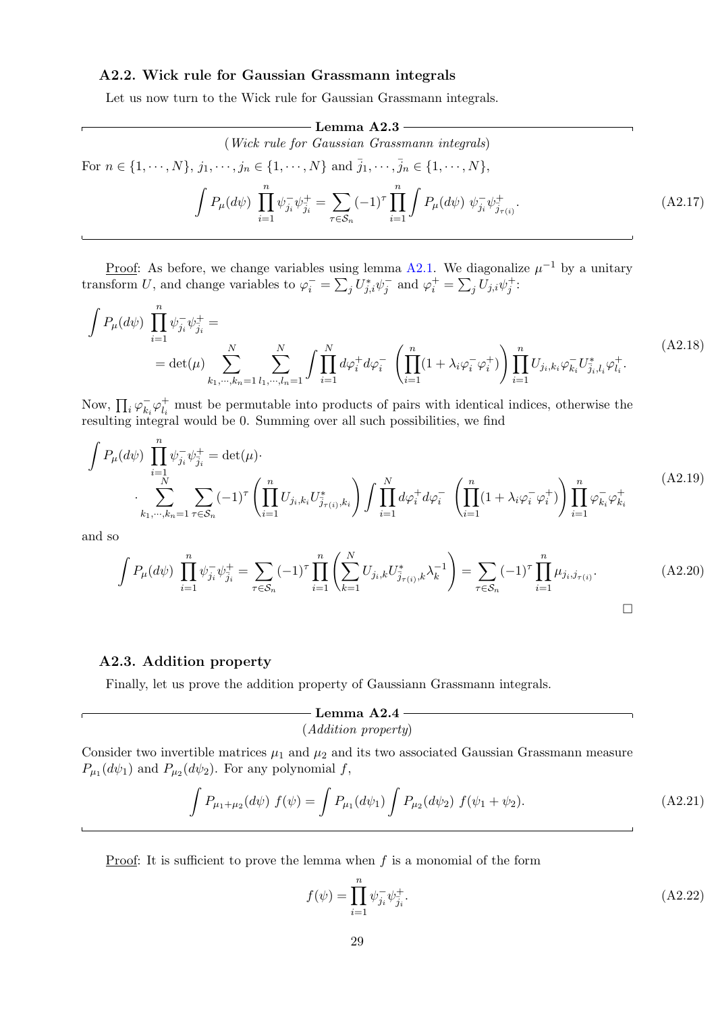### <span id="page-29-0"></span>A2.2. Wick rule for Gaussian Grassmann integrals

Let us now turn to the Wick rule for Gaussian Grassmann integrals.

**Lemma A2.3**  
\n(Wick rule for Gaussian Grassmann integrals)  
\nFor 
$$
n \in \{1, \dots, N\}
$$
,  $j_1, \dots, j_n \in \{1, \dots, N\}$  and  $\bar{j}_1, \dots, \bar{j}_n \in \{1, \dots, N\}$ ,  
\n
$$
\int P_{\mu}(d\psi) \prod_{i=1}^n \psi_{j_i}^- \psi_{\bar{j}_i}^+ = \sum_{\tau \in S_n} (-1)^{\tau} \prod_{i=1}^n \int P_{\mu}(d\psi) \psi_{j_i}^- \psi_{\bar{j}_{\tau(i)}}^+.
$$
\n(A2.17)

<u>Proof</u>: As before, we change variables using lemma [A2.1.](#page-27-1) We diagonalize  $\mu^{-1}$  by a unitary transform U, and change variables to  $\varphi_i^- = \sum_j U_{j,i}^* \psi_j^-$  and  $\varphi_i^+ = \sum_j U_{j,i} \psi_j^+$ :

$$
\int P_{\mu}(d\psi) \prod_{i=1}^{n} \psi_{j_i}^{-} \psi_{j_i}^{+} =
$$
\n
$$
= \det(\mu) \sum_{k_1, \dots, k_n=1}^{N} \sum_{l_1, \dots, l_n=1}^{N} \int \prod_{i=1}^{N} d\varphi_i^{+} d\varphi_i^{-} \left( \prod_{i=1}^{n} (1 + \lambda_i \varphi_i^{-} \varphi_i^{+}) \right) \prod_{i=1}^{n} U_{j_i, k_i} \varphi_{k_i}^{-} U_{j_i, l_i}^{*} \varphi_{l_i}^{+}.
$$
\n(A2.18)

Now,  $\prod_i \varphi_{k_i}^ \bar{k}_i \varphi_{l_i}^+$  $l_i$  must be permutable into products of pairs with identical indices, otherwise the resulting integral would be 0. Summing over all such possibilities, we find

$$
\int P_{\mu}(d\psi) \prod_{i=1}^{n} \psi_{j_{i}}^{-} \psi_{j_{i}}^{+} = \det(\mu) \cdot \sum_{k_{1},\dots,k_{n}=1}^{N} \sum_{\tau \in S_{n}} (-1)^{\tau} \left( \prod_{i=1}^{n} U_{j_{i},k_{i}} U_{j_{\tau(i)},k_{i}}^{*} \right) \int \prod_{i=1}^{N} d\varphi_{i}^{+} d\varphi_{i}^{-} \left( \prod_{i=1}^{n} (1 + \lambda_{i} \varphi_{i}^{-} \varphi_{i}^{+}) \right) \prod_{i=1}^{n} \varphi_{k_{i}}^{-} \varphi_{k_{i}}^{+} \tag{A2.19}
$$

and so

$$
\int P_{\mu}(d\psi) \prod_{i=1}^{n} \psi_{j_i}^{-} \psi_{\bar{j}_i}^{+} = \sum_{\tau \in S_n} (-1)^{\tau} \prod_{i=1}^{n} \left( \sum_{k=1}^{N} U_{j_i,k} U_{\bar{j}_{\tau(i)},k}^{*} \lambda_k^{-1} \right) = \sum_{\tau \in S_n} (-1)^{\tau} \prod_{i=1}^{n} \mu_{j_i,j_{\tau(i)}}.
$$
\n(A2.20)

### <span id="page-29-1"></span>A2.3. Addition property

Finally, let us prove the addition property of Gaussiann Grassmann integrals.

# $-$  Lemma A2.4  $-$

# (Addition property)

Consider two invertible matrices  $\mu_1$  and  $\mu_2$  and its two associated Gaussian Grassmann measure  $P_{\mu_1}(d\psi_1)$  and  $P_{\mu_2}(d\psi_2)$ . For any polynomial f,

$$
\int P_{\mu_1+\mu_2}(d\psi) f(\psi) = \int P_{\mu_1}(d\psi_1) \int P_{\mu_2}(d\psi_2) f(\psi_1+\psi_2).
$$
 (A2.21)

Proof: It is sufficient to prove the lemma when  $f$  is a monomial of the form

$$
f(\psi) = \prod_{i=1}^{n} \psi_{j_i}^{-} \psi_{j_i}^{+}.
$$
 (A2.22)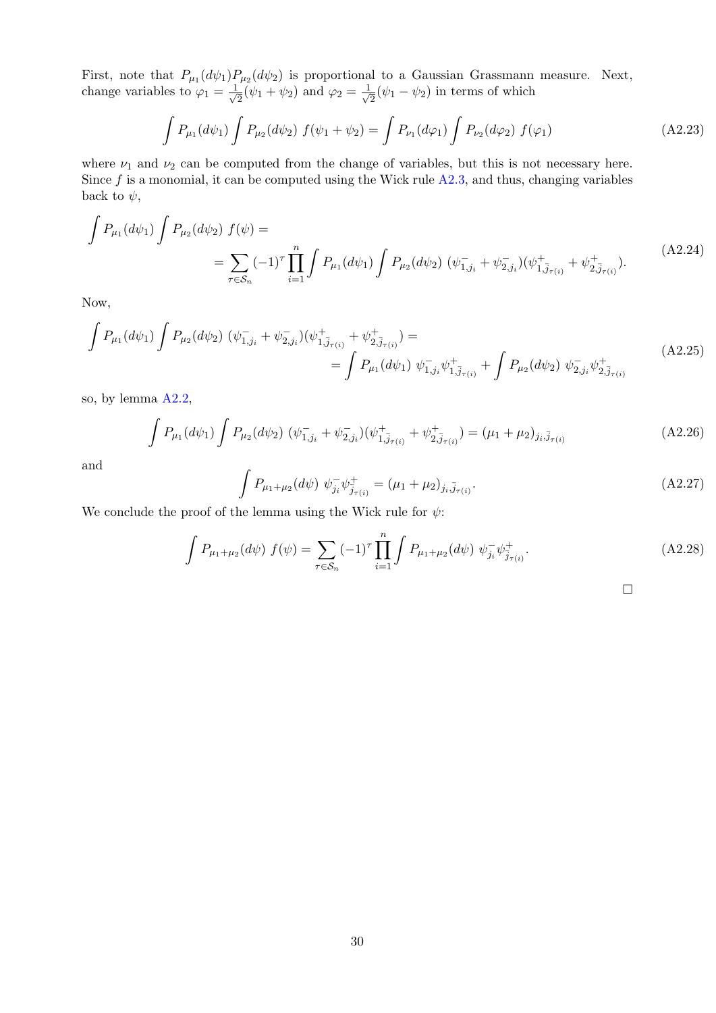First, note that  $P_{\mu_1}(d\psi_1)P_{\mu_2}(d\psi_2)$  is proportional to a Gaussian Grassmann measure. Next, change variables to  $\varphi_1 = \frac{1}{\sqrt{2}}$  $\frac{1}{2}(\psi_1 + \psi_2)$  and  $\varphi_2 = \frac{1}{\sqrt{2}}$  $\frac{1}{2}(\psi_1 - \psi_2)$  in terms of which

$$
\int P_{\mu_1}(d\psi_1) \int P_{\mu_2}(d\psi_2) f(\psi_1 + \psi_2) = \int P_{\nu_1}(d\varphi_1) \int P_{\nu_2}(d\varphi_2) f(\varphi_1)
$$
\n(A2.23)

where  $\nu_1$  and  $\nu_2$  can be computed from the change of variables, but this is not necessary here. Since  $f$  is a monomial, it can be computed using the Wick rule  $A2.3$ , and thus, changing variables back to  $\psi$ ,

$$
\int P_{\mu_1}(d\psi_1) \int P_{\mu_2}(d\psi_2) f(\psi) =
$$
\n
$$
= \sum_{\tau \in S_n} (-1)^{\tau} \prod_{i=1}^n \int P_{\mu_1}(d\psi_1) \int P_{\mu_2}(d\psi_2) (\psi_{1,j_i}^- + \psi_{2,j_i}^-)(\psi_{1,\bar{j}_{\tau(i)}}^+ + \psi_{2,\bar{j}_{\tau(i)}}^+).
$$
\n(A2.24)

Now,

$$
\int P_{\mu_1}(d\psi_1) \int P_{\mu_2}(d\psi_2) \ (\psi_{1,j_i}^- + \psi_{2,j_i}^-)(\psi_{1,\bar{j}_{\tau(i)}}^+ + \psi_{2,\bar{j}_{\tau(i)}}^+) =
$$
\n
$$
= \int P_{\mu_1}(d\psi_1) \ \psi_{1,j_i}^- \psi_{1,\bar{j}_{\tau(i)}}^+ + \int P_{\mu_2}(d\psi_2) \ \psi_{2,j_i}^- \psi_{2,\bar{j}_{\tau(i)}}^+ \tag{A2.25}
$$

so, by lemma [A2.2,](#page-28-0)

$$
\int P_{\mu_1}(d\psi_1) \int P_{\mu_2}(d\psi_2) \ (\psi_{1,j_i}^- + \psi_{2,j_i}^-)(\psi_{1,\bar{j}_{\tau(i)}}^+ + \psi_{2,\bar{j}_{\tau(i)}}^+) = (\mu_1 + \mu_2)_{j_i,\bar{j}_{\tau(i)}}
$$
\n(A2.26)

and

$$
\int P_{\mu_1+\mu_2}(d\psi) \ \psi_{j_i}^-\psi_{\bar{j}_{\tau(i)}}^+ = (\mu_1+\mu_2)_{j_i,\bar{j}_{\tau(i)}}.
$$
\n(A2.27)

We conclude the proof of the lemma using the Wick rule for  $\psi$ :

$$
\int P_{\mu_1+\mu_2}(d\psi) f(\psi) = \sum_{\tau \in S_n} (-1)^{\tau} \prod_{i=1}^n \int P_{\mu_1+\mu_2}(d\psi) \psi_{j_i}^{-} \psi_{j_{\tau(i)}}^{+}.
$$
\n(A2.28)

□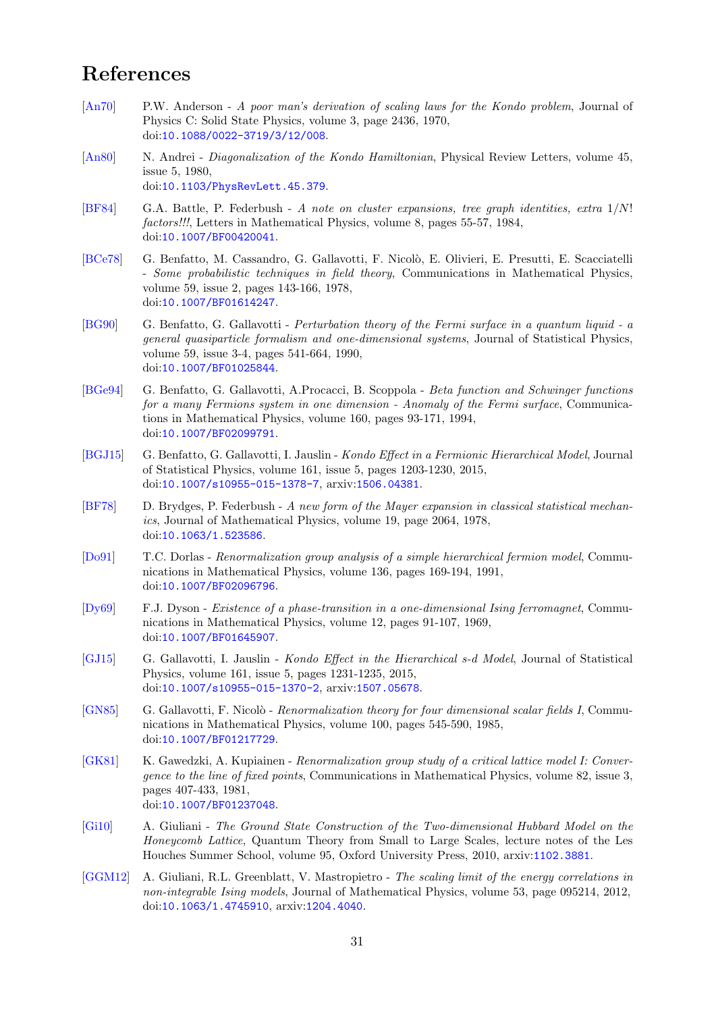# <span id="page-31-0"></span>References

- <span id="page-31-11"></span>[\[An70\]](#page-31-11) P.W. Anderson - A poor man's derivation of scaling laws for the Kondo problem, Journal of Physics C: Solid State Physics, volume 3, page 2436, 1970, doi:[10.1088/0022-3719/3/12/008](http://dx.doi.org/10.1088/0022-3719/3/12/008).
- <span id="page-31-12"></span>[\[An80\]](#page-31-12) N. Andrei - Diagonalization of the Kondo Hamiltonian, Physical Review Letters, volume 45, issue 5, 1980, doi:[10.1103/PhysRevLett.45.379](http://dx.doi.org/10.1103/PhysRevLett.45.379).
- <span id="page-31-14"></span>[\[BF84\]](#page-31-14) G.A. Battle, P. Federbush - A note on cluster expansions, tree graph identities, extra 1/N! factors!!!, Letters in Mathematical Physics, volume 8, pages 55-57, 1984, doi:[10.1007/BF00420041](http://dx.doi.org/10.1007/BF00420041).
- <span id="page-31-6"></span>[\[BCe78\]](#page-31-6) G. Benfatto, M. Cassandro, G. Gallavotti, F. Nicolò, E. Olivieri, E. Presutti, E. Scacciatelli - Some probabilistic techniques in field theory, Communications in Mathematical Physics, volume 59, issue 2, pages 143-166, 1978, doi:[10.1007/BF01614247](http://dx.doi.org/10.1007/BF01614247).
- <span id="page-31-1"></span>[\[BG90\]](#page-31-1) G. Benfatto, G. Gallavotti - Perturbation theory of the Fermi surface in a quantum liquid - a general quasiparticle formalism and one-dimensional systems, Journal of Statistical Physics, volume 59, issue 3-4, pages 541-664, 1990, doi:[10.1007/BF01025844](http://dx.doi.org/10.1007/BF01025844).
- <span id="page-31-2"></span>[\[BGe94\]](#page-31-2) G. Benfatto, G. Gallavotti, A.Procacci, B. Scoppola - Beta function and Schwinger functions for a many Fermions system in one dimension - Anomaly of the Fermi surface, Communications in Mathematical Physics, volume 160, pages 93-171, 1994, doi:[10.1007/BF02099791](http://dx.doi.org/10.1007/BF02099791).
- <span id="page-31-9"></span>[\[BGJ15\]](#page-31-9) G. Benfatto, G. Gallavotti, I. Jauslin - Kondo Effect in a Fermionic Hierarchical Model, Journal of Statistical Physics, volume 161, issue 5, pages 1203-1230, 2015, doi:[10.1007/s10955-015-1378-7](http://dx.doi.org/10.1007/s10955-015-1378-7), arxiv:[1506.04381](http://arxiv.org/abs/1506.04381).
- <span id="page-31-13"></span>[\[BF78\]](#page-31-13) D. Brydges, P. Federbush - A new form of the Mayer expansion in classical statistical mechanics, Journal of Mathematical Physics, volume 19, page 2064, 1978, doi:[10.1063/1.523586](http://dx.doi.org/10.1063/1.523586).
- <span id="page-31-8"></span>[\[Do91\]](#page-31-8) T.C. Dorlas - Renormalization group analysis of a simple hierarchical fermion model, Communications in Mathematical Physics, volume 136, pages 169-194, 1991, doi:[10.1007/BF02096796](http://dx.doi.org/10.1007/BF02096796).
- <span id="page-31-5"></span>[\[Dy69\]](#page-31-5) F.J. Dyson - Existence of a phase-transition in a one-dimensional Ising ferromagnet, Communications in Mathematical Physics, volume 12, pages 91-107, 1969, doi:[10.1007/BF01645907](http://dx.doi.org/10.1007/BF01645907).
- <span id="page-31-10"></span>[\[GJ15\]](#page-31-10) G. Gallavotti, I. Jauslin - Kondo Effect in the Hierarchical s-d Model, Journal of Statistical Physics, volume 161, issue 5, pages 1231-1235, 2015, doi:[10.1007/s10955-015-1370-2](http://dx.doi.org/10.1007/s10955-015-1370-2), arxiv:[1507.05678](http://arxiv.org/abs/1507.05678).
- <span id="page-31-15"></span>[\[GN85\]](#page-31-15) G. Gallavotti, F. Nicolò - Renormalization theory for four dimensional scalar fields I, Communications in Mathematical Physics, volume 100, pages 545-590, 1985, doi:[10.1007/BF01217729](http://dx.doi.org/10.1007/BF01217729).
- <span id="page-31-7"></span>[\[GK81\]](#page-31-7) K. Gawedzki, A. Kupiainen - Renormalization group study of a critical lattice model I: Convergence to the line of fixed points, Communications in Mathematical Physics, volume 82, issue 3, pages 407-433, 1981, doi:[10.1007/BF01237048](http://dx.doi.org/10.1007/BF01237048).
- <span id="page-31-4"></span>[\[Gi10\]](#page-31-4) A. Giuliani - The Ground State Construction of the Two-dimensional Hubbard Model on the Honeycomb Lattice, Quantum Theory from Small to Large Scales, lecture notes of the Les Houches Summer School, volume 95, Oxford University Press, 2010, arxiv:[1102.3881](http://arxiv.org/abs/1102.3881).
- <span id="page-31-3"></span>[\[GGM12\]](#page-31-3) A. Giuliani, R.L. Greenblatt, V. Mastropietro - The scaling limit of the energy correlations in non-integrable Ising models, Journal of Mathematical Physics, volume 53, page 095214, 2012, doi:[10.1063/1.4745910](http://dx.doi.org/10.1063/1.4745910), arxiv:[1204.4040](http://arxiv.org/abs/1204.4040).